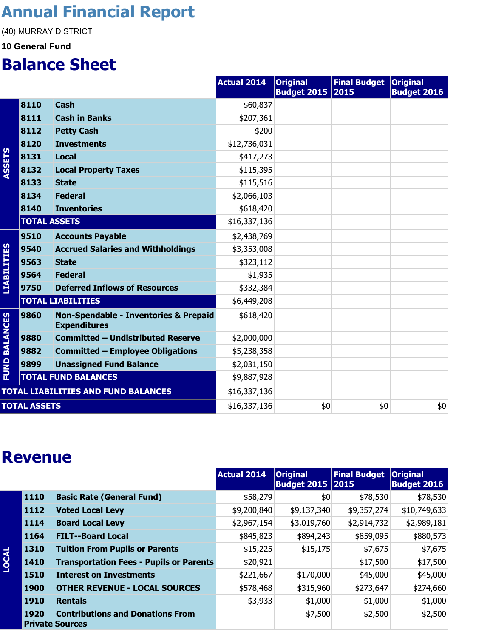### **Annual Financial Report**

(40) MURRAY DISTRICT

#### **10 General Fund**

#### **Balance Sheet**

|                      |                     |                                                                         | <b>Actual 2014</b> | <b>Original</b><br><b>Budget 2015</b> | Final Budget   Original<br>2015 | <b>Budget 2016</b> |
|----------------------|---------------------|-------------------------------------------------------------------------|--------------------|---------------------------------------|---------------------------------|--------------------|
|                      | 8110                | <b>Cash</b>                                                             | \$60,837           |                                       |                                 |                    |
|                      | 8111                | <b>Cash in Banks</b>                                                    | \$207,361          |                                       |                                 |                    |
|                      | 8112                | <b>Petty Cash</b>                                                       | \$200              |                                       |                                 |                    |
|                      | 8120                | <b>Investments</b>                                                      | \$12,736,031       |                                       |                                 |                    |
| <b>ASSETS</b>        | 8131                | <b>Local</b>                                                            | \$417,273          |                                       |                                 |                    |
|                      | 8132                | <b>Local Property Taxes</b>                                             | \$115,395          |                                       |                                 |                    |
|                      | 8133                | <b>State</b>                                                            | \$115,516          |                                       |                                 |                    |
|                      | 8134                | <b>Federal</b>                                                          | \$2,066,103        |                                       |                                 |                    |
|                      | 8140                | <b>Inventories</b>                                                      | \$618,420          |                                       |                                 |                    |
|                      | <b>TOTAL ASSETS</b> |                                                                         | \$16,337,136       |                                       |                                 |                    |
|                      | 9510                | <b>Accounts Payable</b>                                                 | \$2,438,769        |                                       |                                 |                    |
|                      | 9540                | <b>Accrued Salaries and Withholdings</b>                                | \$3,353,008        |                                       |                                 |                    |
| <b>LIABILITIES</b>   | 9563                | <b>State</b>                                                            | \$323,112          |                                       |                                 |                    |
|                      | 9564                | <b>Federal</b>                                                          | \$1,935            |                                       |                                 |                    |
|                      | 9750                | <b>Deferred Inflows of Resources</b>                                    | \$332,384          |                                       |                                 |                    |
|                      |                     | <b>TOTAL LIABILITIES</b>                                                | \$6,449,208        |                                       |                                 |                    |
| <b>FUND BALANCES</b> | 9860                | <b>Non-Spendable - Inventories &amp; Prepaid</b><br><b>Expenditures</b> | \$618,420          |                                       |                                 |                    |
|                      | 9880                | <b>Committed - Undistributed Reserve</b>                                | \$2,000,000        |                                       |                                 |                    |
|                      | 9882                | <b>Committed - Employee Obligations</b>                                 | \$5,238,358        |                                       |                                 |                    |
|                      | 9899                | <b>Unassigned Fund Balance</b>                                          | \$2,031,150        |                                       |                                 |                    |
|                      |                     | <b>TOTAL FUND BALANCES</b>                                              | \$9,887,928        |                                       |                                 |                    |
|                      |                     | <b>TOTAL LIABILITIES AND FUND BALANCES</b>                              | \$16,337,136       |                                       |                                 |                    |
|                      | <b>TOTAL ASSETS</b> |                                                                         | \$16,337,136       | \$0                                   | \$0                             | \$0                |

#### **Revenue**

|              |             |                                                                   | <b>Actual 2014</b> | <b>Original</b><br><b>Budget 2015   2015</b> | <b>Final Budget</b> | <b>Original</b><br><b>Budget 2016</b> |
|--------------|-------------|-------------------------------------------------------------------|--------------------|----------------------------------------------|---------------------|---------------------------------------|
|              | 1110        | <b>Basic Rate (General Fund)</b>                                  | \$58,279           | \$0                                          | \$78,530            | \$78,530                              |
|              | 1112        | <b>Voted Local Levy</b>                                           | \$9,200,840        | \$9,137,340                                  | \$9,357,274         | \$10,749,633                          |
|              | 1114        | <b>Board Local Levy</b>                                           | \$2,967,154        | \$3,019,760                                  | \$2,914,732         | \$2,989,181                           |
|              | 1164        | <b>FILT--Board Local</b>                                          | \$845,823          | \$894,243                                    | \$859,095           | \$880,573                             |
|              | 1310        | <b>Tuition From Pupils or Parents</b>                             | \$15,225           | \$15,175                                     | \$7,675             | \$7,675                               |
| <b>LOCAL</b> | 1410        | <b>Transportation Fees - Pupils or Parents</b>                    | \$20,921           |                                              | \$17,500            | \$17,500                              |
|              | 1510        | <b>Interest on Investments</b>                                    | \$221,667          | \$170,000                                    | \$45,000            | \$45,000                              |
|              | 1900        | <b>OTHER REVENUE - LOCAL SOURCES</b>                              | \$578,468          | \$315,960                                    | \$273,647           | \$274,660                             |
|              | <b>1910</b> | <b>Rentals</b>                                                    | \$3,933            | \$1,000                                      | \$1,000             | \$1,000                               |
|              | 1920        | <b>Contributions and Donations From</b><br><b>Private Sources</b> |                    | \$7,500                                      | \$2,500             | \$2,500                               |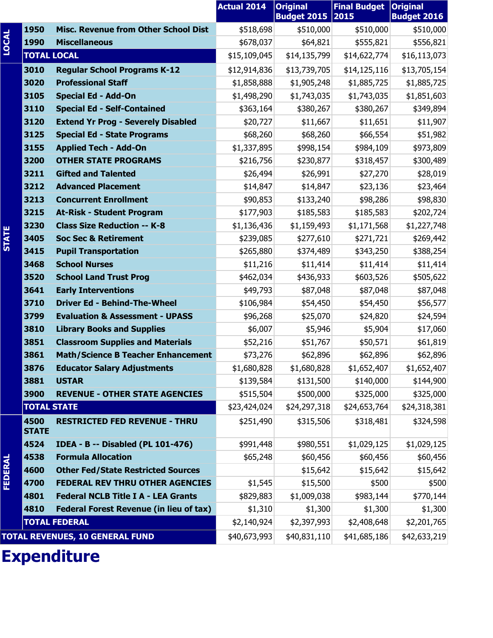|                |                      |                                             | <b>Actual 2014</b> | <b>Original</b><br><b>Budget 2015 2015</b> | <b>Final Budget</b> | <b>Original</b><br><b>Budget 2016</b> |
|----------------|----------------------|---------------------------------------------|--------------------|--------------------------------------------|---------------------|---------------------------------------|
|                | 1950                 | <b>Misc. Revenue from Other School Dist</b> | \$518,698          | \$510,000                                  | \$510,000           | \$510,000                             |
| <b>LOCAL</b>   | 1990                 | <b>Miscellaneous</b>                        | \$678,037          | \$64,821                                   | \$555,821           | \$556,821                             |
|                | <b>TOTAL LOCAL</b>   |                                             | \$15,109,045       | \$14,135,799                               | \$14,622,774        | \$16,113,073                          |
|                | 3010                 | <b>Regular School Programs K-12</b>         | \$12,914,836       | \$13,739,705                               | \$14,125,116        | \$13,705,154                          |
|                | 3020                 | <b>Professional Staff</b>                   | \$1,858,888        | \$1,905,248                                | \$1,885,725         | \$1,885,725                           |
|                | 3105                 | <b>Special Ed - Add-On</b>                  | \$1,498,290        | \$1,743,035                                | \$1,743,035         | \$1,851,603                           |
|                | 3110                 | <b>Special Ed - Self-Contained</b>          | \$363,164          | \$380,267                                  | \$380,267           | \$349,894                             |
|                | 3120                 | <b>Extend Yr Prog - Severely Disabled</b>   | \$20,727           | \$11,667                                   | \$11,651            | \$11,907                              |
|                | 3125                 | <b>Special Ed - State Programs</b>          | \$68,260           | \$68,260                                   | \$66,554            | \$51,982                              |
|                | 3155                 | <b>Applied Tech - Add-On</b>                | \$1,337,895        | \$998,154                                  | \$984,109           | \$973,809                             |
|                | 3200                 | <b>OTHER STATE PROGRAMS</b>                 | \$216,756          | \$230,877                                  | \$318,457           | \$300,489                             |
|                | 3211                 | <b>Gifted and Talented</b>                  | \$26,494           | \$26,991                                   | \$27,270            | \$28,019                              |
|                | 3212                 | <b>Advanced Placement</b>                   | \$14,847           | \$14,847                                   | \$23,136            | \$23,464                              |
|                | 3213                 | <b>Concurrent Enrollment</b>                | \$90,853           | \$133,240                                  | \$98,286            | \$98,830                              |
|                | 3215                 | <b>At-Risk - Student Program</b>            | \$177,903          | \$185,583                                  | \$185,583           | \$202,724                             |
|                | 3230                 | <b>Class Size Reduction -- K-8</b>          | \$1,136,436        | \$1,159,493                                | \$1,171,568         | \$1,227,748                           |
| <b>STATE</b>   | 3405                 | <b>Soc Sec &amp; Retirement</b>             | \$239,085          | \$277,610                                  | \$271,721           | \$269,442                             |
|                | 3415                 | <b>Pupil Transportation</b>                 | \$265,880          | \$374,489                                  | \$343,250           | \$388,254                             |
|                | 3468                 | <b>School Nurses</b>                        | \$11,216           | \$11,414                                   | \$11,414            | \$11,414                              |
|                | 3520                 | <b>School Land Trust Prog</b>               | \$462,034          | \$436,933                                  | \$603,526           | \$505,622                             |
|                | 3641                 | <b>Early Interventions</b>                  | \$49,793           | \$87,048                                   | \$87,048            | \$87,048                              |
|                | 3710                 | <b>Driver Ed - Behind-The-Wheel</b>         | \$106,984          | \$54,450                                   | \$54,450            | \$56,577                              |
|                | 3799                 | <b>Evaluation &amp; Assessment - UPASS</b>  | \$96,268           | \$25,070                                   | \$24,820            | \$24,594                              |
|                | 3810                 | <b>Library Books and Supplies</b>           | \$6,007            | \$5,946                                    | \$5,904             | \$17,060                              |
|                | 3851                 | <b>Classroom Supplies and Materials</b>     | \$52,216           | \$51,767                                   | \$50,571            | \$61,819                              |
|                | 3861                 | <b>Math/Science B Teacher Enhancement</b>   | \$73,276           | \$62,896                                   | \$62,896            | \$62,896                              |
|                | 3876                 | <b>Educator Salary Adjustments</b>          | \$1,680,828        | \$1,680,828                                | \$1,652,407         | \$1,652,407                           |
|                | 3881                 | <b>USTAR</b>                                | \$139,584          | \$131,500                                  | \$140,000           | \$144,900                             |
|                | 3900                 | <b>REVENUE - OTHER STATE AGENCIES</b>       | \$515,504          | \$500,000                                  | \$325,000           | \$325,000                             |
|                | <b>TOTAL STATE</b>   |                                             | \$23,424,024       | \$24,297,318                               | \$24,653,764        | \$24,318,381                          |
|                | 4500<br><b>STATE</b> | <b>RESTRICTED FED REVENUE - THRU</b>        | \$251,490          | \$315,506                                  | \$318,481           | \$324,598                             |
|                | 4524                 | <b>IDEA - B -- Disabled (PL 101-476)</b>    | \$991,448          | \$980,551                                  | \$1,029,125         | \$1,029,125                           |
|                | 4538                 | <b>Formula Allocation</b>                   | \$65,248           | \$60,456                                   | \$60,456            | \$60,456                              |
| <b>FEDERAL</b> | 4600                 | <b>Other Fed/State Restricted Sources</b>   |                    | \$15,642                                   | \$15,642            | \$15,642                              |
|                | 4700                 | <b>FEDERAL REV THRU OTHER AGENCIES</b>      | \$1,545            | \$15,500                                   | \$500               | \$500                                 |
|                | 4801                 | <b>Federal NCLB Title I A - LEA Grants</b>  | \$829,883          | \$1,009,038                                | \$983,144           | \$770,144                             |
|                | 4810                 | Federal Forest Revenue (in lieu of tax)     | \$1,310            | \$1,300                                    | \$1,300             | \$1,300                               |
|                |                      | <b>TOTAL FEDERAL</b>                        | \$2,140,924        | \$2,397,993                                | \$2,408,648         | \$2,201,765                           |
|                |                      | <b>TOTAL REVENUES, 10 GENERAL FUND</b>      | \$40,673,993       | \$40,831,110                               | \$41,685,186        | \$42,633,219                          |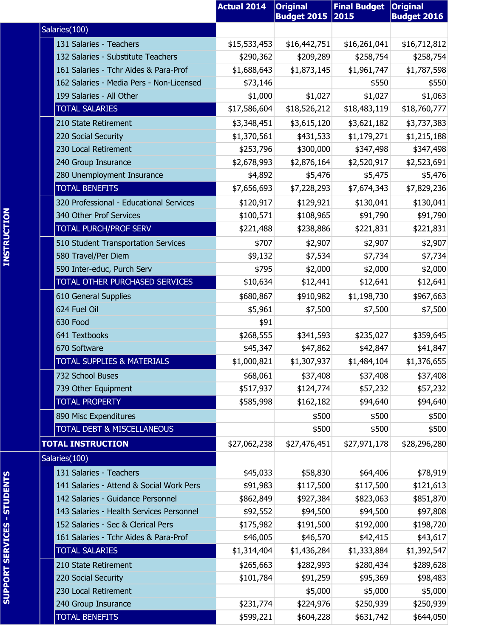|                                          | <b>Actual 2014</b> | <b>Original</b><br><b>Budget 2015</b> | <b>Final Budget</b><br> 2015 | <b>Original</b><br><b>Budget 2016</b> |
|------------------------------------------|--------------------|---------------------------------------|------------------------------|---------------------------------------|
| Salaries(100)                            |                    |                                       |                              |                                       |
|                                          |                    |                                       |                              |                                       |
| 131 Salaries - Teachers                  | \$15,533,453       | \$16,442,751                          | \$16,261,041                 | \$16,712,812                          |
| 132 Salaries - Substitute Teachers       | \$290,362          | \$209,289                             | \$258,754                    | \$258,754                             |
| 161 Salaries - Tchr Aides & Para-Prof    | \$1,688,643        | \$1,873,145                           | \$1,961,747                  | \$1,787,598                           |
| 162 Salaries - Media Pers - Non-Licensed | \$73,146           |                                       | \$550                        | \$550                                 |
| 199 Salaries - All Other                 | \$1,000            | \$1,027                               | \$1,027                      | \$1,063                               |
| <b>TOTAL SALARIES</b>                    | \$17,586,604       | \$18,526,212                          | \$18,483,119                 | \$18,760,777                          |
| 210 State Retirement                     | \$3,348,451        | \$3,615,120                           | \$3,621,182                  | \$3,737,383                           |
| 220 Social Security                      | \$1,370,561        | \$431,533                             | \$1,179,271                  | \$1,215,188                           |
| 230 Local Retirement                     | \$253,796          | \$300,000                             | \$347,498                    | \$347,498                             |
| 240 Group Insurance                      | \$2,678,993        | \$2,876,164                           | \$2,520,917                  | \$2,523,691                           |
| 280 Unemployment Insurance               | \$4,892            | \$5,476                               | \$5,475                      | \$5,476                               |
| <b>TOTAL BENEFITS</b>                    | \$7,656,693        | \$7,228,293                           | \$7,674,343                  | \$7,829,236                           |
| 320 Professional - Educational Services  | \$120,917          | \$129,921                             | \$130,041                    | \$130,041                             |
| 340 Other Prof Services                  | \$100,571          | \$108,965                             | \$91,790                     | \$91,790                              |
| <b>TOTAL PURCH/PROF SERV</b>             | \$221,488          | \$238,886                             | \$221,831                    | \$221,831                             |
| 510 Student Transportation Services      | \$707              | \$2,907                               | \$2,907                      | \$2,907                               |
| 580 Travel/Per Diem                      | \$9,132            | \$7,534                               | \$7,734                      | \$7,734                               |
| 590 Inter-educ, Purch Serv               | \$795              | \$2,000                               | \$2,000                      | \$2,000                               |
| TOTAL OTHER PURCHASED SERVICES           | \$10,634           | \$12,441                              | \$12,641                     | \$12,641                              |
| 610 General Supplies                     | \$680,867          | \$910,982                             | \$1,198,730                  | \$967,663                             |
| 624 Fuel Oil                             | \$5,961            | \$7,500                               | \$7,500                      | \$7,500                               |
| 630 Food                                 | \$91               |                                       |                              |                                       |
| 641 Textbooks                            | \$268,555          | \$341,593                             | \$235,027                    | \$359,645                             |
| 670 Software                             | \$45,347           | \$47,862                              | \$42,847                     | \$41,847                              |
| <b>TOTAL SUPPLIES &amp; MATERIALS</b>    | \$1,000,821        | \$1,307,937                           | \$1,484,104                  | \$1,376,655                           |
| 732 School Buses                         | \$68,061           | \$37,408                              | \$37,408                     | \$37,408                              |
| 739 Other Equipment                      | \$517,937          | \$124,774                             | \$57,232                     | \$57,232                              |
| <b>TOTAL PROPERTY</b>                    | \$585,998          | \$162,182                             | \$94,640                     | \$94,640                              |
| 890 Misc Expenditures                    |                    | \$500                                 | \$500                        | \$500                                 |
| TOTAL DEBT & MISCELLANEOUS               |                    | \$500                                 | \$500                        | \$500                                 |
| <b>TOTAL INSTRUCTION</b>                 | \$27,062,238       | \$27,476,451                          | \$27,971,178                 | \$28,296,280                          |
| Salaries(100)                            |                    |                                       |                              |                                       |
| 131 Salaries - Teachers                  | \$45,033           | \$58,830                              | \$64,406                     | \$78,919                              |
| 141 Salaries - Attend & Social Work Pers | \$91,983           | \$117,500                             | \$117,500                    | \$121,613                             |
| 142 Salaries - Guidance Personnel        | \$862,849          | \$927,384                             | \$823,063                    | \$851,870                             |
| 143 Salaries - Health Services Personnel | \$92,552           | \$94,500                              | \$94,500                     | \$97,808                              |
| 152 Salaries - Sec & Clerical Pers       | \$175,982          | \$191,500                             | \$192,000                    | \$198,720                             |
| 161 Salaries - Tchr Aides & Para-Prof    | \$46,005           | \$46,570                              | \$42,415                     | \$43,617                              |
| <b>TOTAL SALARIES</b>                    | \$1,314,404        | \$1,436,284                           | \$1,333,884                  | \$1,392,547                           |
| 210 State Retirement                     | \$265,663          | \$282,993                             | \$280,434                    | \$289,628                             |
| 220 Social Security                      | \$101,784          | \$91,259                              | \$95,369                     | \$98,483                              |
| 230 Local Retirement                     |                    | \$5,000                               | \$5,000                      | \$5,000                               |
| 240 Group Insurance                      | \$231,774          | \$224,976                             | \$250,939                    | \$250,939                             |
| TOTAL BENEFITS                           | \$599,221          | \$604,228                             | \$631,742                    | \$644,050                             |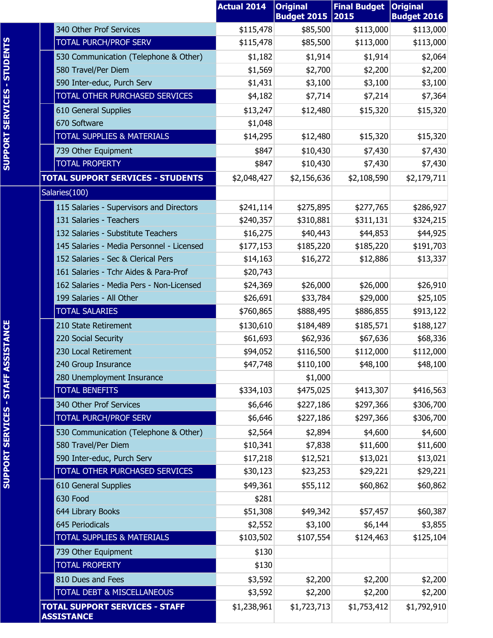|                                                            | <b>Actual 2014</b> | <b>Original</b><br><b>Budget 2015</b> | <b>Final Budget</b><br>2015 | <b>Original</b><br><b>Budget 2016</b> |
|------------------------------------------------------------|--------------------|---------------------------------------|-----------------------------|---------------------------------------|
| 340 Other Prof Services                                    | \$115,478          | \$85,500                              | \$113,000                   | \$113,000                             |
| <b>TOTAL PURCH/PROF SERV</b>                               | \$115,478          | \$85,500                              | \$113,000                   | \$113,000                             |
| 530 Communication (Telephone & Other)                      | \$1,182            | \$1,914                               | \$1,914                     | \$2,064                               |
| 580 Travel/Per Diem                                        | \$1,569            | \$2,700                               | \$2,200                     | \$2,200                               |
| 590 Inter-educ, Purch Serv                                 | \$1,431            | \$3,100                               | \$3,100                     | \$3,100                               |
| TOTAL OTHER PURCHASED SERVICES                             | \$4,182            | \$7,714                               | \$7,214                     | \$7,364                               |
| 610 General Supplies                                       | \$13,247           | \$12,480                              | \$15,320                    | \$15,320                              |
| 670 Software                                               | \$1,048            |                                       |                             |                                       |
| <b>TOTAL SUPPLIES &amp; MATERIALS</b>                      | \$14,295           | \$12,480                              | \$15,320                    | \$15,320                              |
| 739 Other Equipment                                        | \$847              | \$10,430                              | \$7,430                     | \$7,430                               |
| <b>TOTAL PROPERTY</b>                                      | \$847              | \$10,430                              | \$7,430                     | \$7,430                               |
| <b>TOTAL SUPPORT SERVICES - STUDENTS</b>                   | \$2,048,427        | \$2,156,636                           | \$2,108,590                 | \$2,179,711                           |
| Salaries(100)                                              |                    |                                       |                             |                                       |
| 115 Salaries - Supervisors and Directors                   | \$241,114          | \$275,895                             | \$277,765                   | \$286,927                             |
| 131 Salaries - Teachers                                    | \$240,357          | \$310,881                             | \$311,131                   | \$324,215                             |
| 132 Salaries - Substitute Teachers                         | \$16,275           | \$40,443                              | \$44,853                    | \$44,925                              |
| 145 Salaries - Media Personnel - Licensed                  | \$177,153          | \$185,220                             | \$185,220                   | \$191,703                             |
| 152 Salaries - Sec & Clerical Pers                         | \$14,163           | \$16,272                              | \$12,886                    | \$13,337                              |
| 161 Salaries - Tchr Aides & Para-Prof                      | \$20,743           |                                       |                             |                                       |
| 162 Salaries - Media Pers - Non-Licensed                   | \$24,369           | \$26,000                              | \$26,000                    | \$26,910                              |
| 199 Salaries - All Other                                   | \$26,691           | \$33,784                              | \$29,000                    | \$25,105                              |
| <b>TOTAL SALARIES</b>                                      | \$760,865          | \$888,495                             | \$886,855                   | \$913,122                             |
| 210 State Retirement                                       | \$130,610          | \$184,489                             | \$185,571                   | \$188,127                             |
| 220 Social Security                                        | \$61,693           | \$62,936                              | \$67,636                    | \$68,336                              |
| 230 Local Retirement                                       | \$94,052           | \$116,500                             | \$112,000                   | \$112,000                             |
| 240 Group Insurance<br>280 Unemployment Insurance          | \$47,748           | \$110,100<br>\$1,000                  | \$48,100                    | \$48,100                              |
| <b>TOTAL BENEFITS</b>                                      | \$334,103          | \$475,025                             | \$413,307                   | \$416,563                             |
| 340 Other Prof Services                                    | \$6,646            | \$227,186                             | \$297,366                   | \$306,700                             |
| <b>TOTAL PURCH/PROF SERV</b>                               | \$6,646            | \$227,186                             | \$297,366                   | \$306,700                             |
| 530 Communication (Telephone & Other)                      | \$2,564            | \$2,894                               | \$4,600                     | \$4,600                               |
| 580 Travel/Per Diem                                        | \$10,341           | \$7,838                               | \$11,600                    | \$11,600                              |
| 590 Inter-educ, Purch Serv                                 | \$17,218           | \$12,521                              | \$13,021                    | \$13,021                              |
| TOTAL OTHER PURCHASED SERVICES                             | \$30,123           | \$23,253                              | \$29,221                    | \$29,221                              |
| 610 General Supplies                                       | \$49,361           | \$55,112                              | \$60,862                    | \$60,862                              |
| 630 Food                                                   | \$281              |                                       |                             |                                       |
| 644 Library Books                                          | \$51,308           | \$49,342                              | \$57,457                    | \$60,387                              |
| 645 Periodicals                                            | \$2,552            | \$3,100                               | \$6,144                     | \$3,855                               |
| <b>TOTAL SUPPLIES &amp; MATERIALS</b>                      | \$103,502          | \$107,554                             | \$124,463                   | \$125,104                             |
| 739 Other Equipment                                        | \$130              |                                       |                             |                                       |
| <b>TOTAL PROPERTY</b>                                      | \$130              |                                       |                             |                                       |
| 810 Dues and Fees                                          | \$3,592            | \$2,200                               | \$2,200                     | \$2,200                               |
| TOTAL DEBT & MISCELLANEOUS                                 | \$3,592            | \$2,200                               | \$2,200                     | \$2,200                               |
| <b>TOTAL SUPPORT SERVICES - STAFF</b><br><b>ASSISTANCE</b> | \$1,238,961        | \$1,723,713                           | \$1,753,412                 | \$1,792,910                           |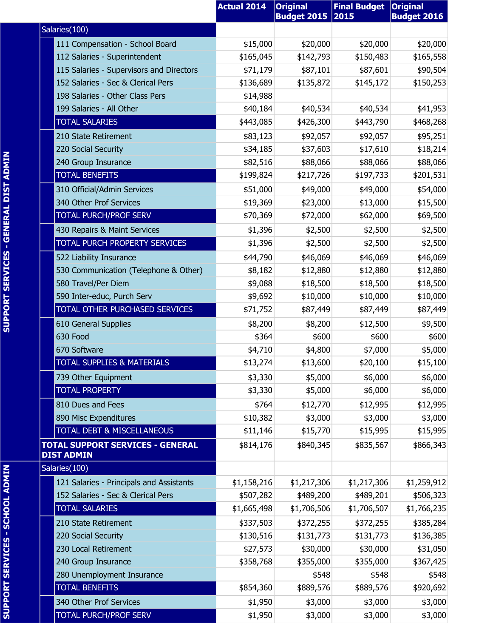|                                                              |                                       | <b>Actual 2014</b> | <b>Original</b><br><b>Budget 2015</b> | <b>Final Budget</b><br>2015 | <b>Original</b><br><b>Budget 2016</b> |
|--------------------------------------------------------------|---------------------------------------|--------------------|---------------------------------------|-----------------------------|---------------------------------------|
| Salaries(100)                                                |                                       |                    |                                       |                             |                                       |
| 111 Compensation - School Board                              |                                       | \$15,000           | \$20,000                              | \$20,000                    | \$20,000                              |
| 112 Salaries - Superintendent                                |                                       | \$165,045          | \$142,793                             | \$150,483                   | \$165,558                             |
| 115 Salaries - Supervisors and Directors                     |                                       | \$71,179           | \$87,101                              | \$87,601                    | \$90,504                              |
| 152 Salaries - Sec & Clerical Pers                           |                                       | \$136,689          | \$135,872                             | \$145,172                   | \$150,253                             |
| 198 Salaries - Other Class Pers                              |                                       | \$14,988           |                                       |                             |                                       |
| 199 Salaries - All Other                                     |                                       | \$40,184           | \$40,534                              | \$40,534                    | \$41,953                              |
| <b>TOTAL SALARIES</b>                                        |                                       | \$443,085          | \$426,300                             | \$443,790                   | \$468,268                             |
| 210 State Retirement                                         |                                       | \$83,123           | \$92,057                              | \$92,057                    | \$95,251                              |
| 220 Social Security                                          |                                       | \$34,185           | \$37,603                              | \$17,610                    | \$18,214                              |
| 240 Group Insurance                                          |                                       | \$82,516           | \$88,066                              | \$88,066                    | \$88,066                              |
| <b>TOTAL BENEFITS</b>                                        |                                       | \$199,824          | \$217,726                             | \$197,733                   | \$201,531                             |
| 310 Official/Admin Services                                  |                                       | \$51,000           | \$49,000                              | \$49,000                    | \$54,000                              |
| 340 Other Prof Services                                      |                                       | \$19,369           | \$23,000                              | \$13,000                    | \$15,500                              |
| <b>TOTAL PURCH/PROF SERV</b>                                 |                                       | \$70,369           | \$72,000                              | \$62,000                    | \$69,500                              |
| 430 Repairs & Maint Services                                 |                                       | \$1,396            | \$2,500                               | \$2,500                     | \$2,500                               |
| TOTAL PURCH PROPERTY SERVICES                                |                                       | \$1,396            | \$2,500                               | \$2,500                     | \$2,500                               |
| 522 Liability Insurance                                      |                                       | \$44,790           | \$46,069                              | \$46,069                    | \$46,069                              |
|                                                              | 530 Communication (Telephone & Other) | \$8,182            | \$12,880                              | \$12,880                    | \$12,880                              |
| 580 Travel/Per Diem                                          |                                       | \$9,088            | \$18,500                              | \$18,500                    | \$18,500                              |
| 590 Inter-educ, Purch Serv                                   |                                       | \$9,692            | \$10,000                              | \$10,000                    | \$10,000                              |
| TOTAL OTHER PURCHASED SERVICES                               |                                       | \$71,752           | \$87,449                              | \$87,449                    | \$87,449                              |
| 610 General Supplies                                         |                                       | \$8,200            | \$8,200                               | \$12,500                    | \$9,500                               |
| 630 Food                                                     |                                       | \$364              | \$600                                 | \$600                       | \$600                                 |
| 670 Software                                                 |                                       | \$4,710            | \$4,800                               | \$7,000                     | \$5,000                               |
| <u>TOTAL SUPPLIES &amp; MATERIALS</u>                        |                                       | \$13,274           | \$13,600                              | \$20,100                    | \$15,100                              |
| 739 Other Equipment                                          |                                       | \$3,330            | \$5,000                               | \$6,000                     | \$6,000                               |
| <b>TOTAL PROPERTY</b>                                        |                                       | \$3,330            | \$5,000                               | \$6,000                     | \$6,000                               |
| 810 Dues and Fees                                            |                                       | \$764              | \$12,770                              | \$12,995                    | \$12,995                              |
| 890 Misc Expenditures                                        |                                       | \$10,382           | \$3,000                               | \$3,000                     | \$3,000                               |
| <b>TOTAL DEBT &amp; MISCELLANEOUS</b>                        |                                       | \$11,146           | \$15,770                              | \$15,995                    | \$15,995                              |
| <b>TOTAL SUPPORT SERVICES - GENERAL</b><br><b>DIST ADMIN</b> |                                       | \$814,176          | \$840,345                             | \$835,567                   | \$866,343                             |
| Salaries(100)                                                |                                       |                    |                                       |                             |                                       |
| 121 Salaries - Principals and Assistants                     |                                       | \$1,158,216        | \$1,217,306                           | \$1,217,306                 | \$1,259,912                           |
| 152 Salaries - Sec & Clerical Pers                           |                                       | \$507,282          | \$489,200                             | \$489,201                   | \$506,323                             |
| <b>TOTAL SALARIES</b>                                        |                                       | \$1,665,498        | \$1,706,506                           | \$1,706,507                 | \$1,766,235                           |
| 210 State Retirement                                         |                                       | \$337,503          | \$372,255                             | \$372,255                   | \$385,284                             |
| 220 Social Security                                          |                                       | \$130,516          | \$131,773                             | \$131,773                   | \$136,385                             |
| 230 Local Retirement                                         |                                       | \$27,573           | \$30,000                              | \$30,000                    | \$31,050                              |
| 240 Group Insurance                                          |                                       | \$358,768          | \$355,000                             | \$355,000                   | \$367,425                             |
| 280 Unemployment Insurance                                   |                                       |                    | \$548                                 | \$548                       | \$548                                 |
| <b>TOTAL BENEFITS</b>                                        |                                       | \$854,360          | \$889,576                             | \$889,576                   | \$920,692                             |
| 340 Other Prof Services                                      |                                       | \$1,950            | \$3,000                               | \$3,000                     | \$3,000                               |
| <b>TOTAL PURCH/PROF SERV</b>                                 |                                       | \$1,950            | \$3,000                               | \$3,000                     | \$3,000                               |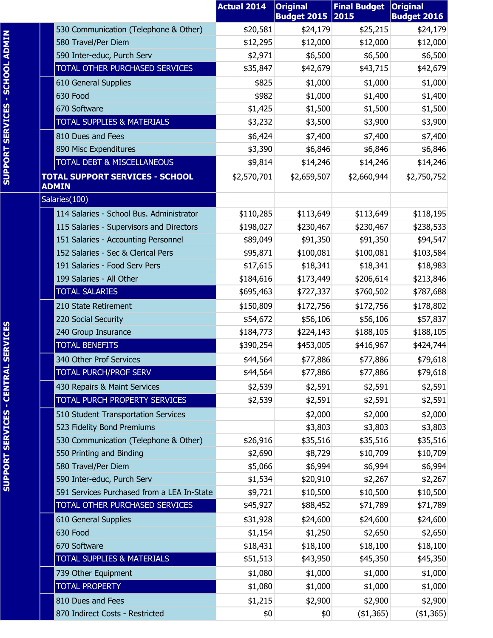|                                                                              | <b>Actual 2014</b>   | <b>Original</b><br><b>Budget 2015 2015</b> | <b>Final Budget</b> | <b>Original</b><br><b>Budget 2016</b> |
|------------------------------------------------------------------------------|----------------------|--------------------------------------------|---------------------|---------------------------------------|
| 530 Communication (Telephone & Other)                                        | \$20,581             | \$24,179                                   | \$25,215            | \$24,179                              |
| 580 Travel/Per Diem                                                          | \$12,295             | \$12,000                                   | \$12,000            | \$12,000                              |
| 590 Inter-educ, Purch Serv                                                   | \$2,971              | \$6,500                                    | \$6,500             | \$6,500                               |
| TOTAL OTHER PURCHASED SERVICES                                               | \$35,847             | \$42,679                                   | \$43,715            | \$42,679                              |
| 610 General Supplies                                                         | \$825                | \$1,000                                    | \$1,000             | \$1,000                               |
| 630 Food                                                                     | \$982                | \$1,000                                    | \$1,400             | \$1,400                               |
| 670 Software                                                                 | \$1,425              | \$1,500                                    | \$1,500             | \$1,500                               |
| <b>TOTAL SUPPLIES &amp; MATERIALS</b>                                        | \$3,232              | \$3,500                                    | \$3,900             | \$3,900                               |
| 810 Dues and Fees                                                            | \$6,424              | \$7,400                                    | \$7,400             | \$7,400                               |
| 890 Misc Expenditures                                                        | \$3,390              | \$6,846                                    | \$6,846             | \$6,846                               |
| TOTAL DEBT & MISCELLANEOUS                                                   | \$9,814              | \$14,246                                   | \$14,246            | \$14,246                              |
| <b>TOTAL SUPPORT SERVICES - SCHOOL</b>                                       | \$2,570,701          | \$2,659,507                                | \$2,660,944         | \$2,750,752                           |
| <b>ADMIN</b>                                                                 |                      |                                            |                     |                                       |
| Salaries(100)                                                                |                      |                                            |                     |                                       |
| 114 Salaries - School Bus. Administrator                                     | \$110,285            | \$113,649                                  | \$113,649           | \$118,195                             |
| 115 Salaries - Supervisors and Directors                                     | \$198,027            | \$230,467                                  | \$230,467           | \$238,533                             |
| 151 Salaries - Accounting Personnel                                          | \$89,049             | \$91,350                                   | \$91,350            | \$94,547                              |
| 152 Salaries - Sec & Clerical Pers                                           | \$95,871             | \$100,081                                  | \$100,081           | \$103,584                             |
| 191 Salaries - Food Serv Pers                                                | \$17,615             | \$18,341                                   | \$18,341            | \$18,983                              |
| 199 Salaries - All Other                                                     | \$184,616            | \$173,449                                  | \$206,614           | \$213,846                             |
| <b>TOTAL SALARIES</b>                                                        | \$695,463            | \$727,337                                  | \$760,502           | \$787,688                             |
| 210 State Retirement                                                         | \$150,809            | \$172,756                                  | \$172,756           | \$178,802                             |
| 220 Social Security                                                          | \$54,672             | \$56,106                                   | \$56,106            | \$57,837                              |
| 240 Group Insurance                                                          | \$184,773            | \$224,143                                  | \$188,105           | \$188,105                             |
| <b>TOTAL BENEFITS</b>                                                        | \$390,254            | \$453,005                                  | \$416,967           | \$424,744                             |
| 340 Other Prof Services                                                      | \$44,564             | \$77,886                                   | \$77,886            | \$79,618                              |
| <b>TOTAL PURCH/PROF SERV</b>                                                 | \$44,564             | \$77,886                                   | \$77,886            | \$79,618                              |
| 430 Repairs & Maint Services                                                 | \$2,539              | \$2,591                                    | \$2,591             | \$2,591                               |
| TOTAL PURCH PROPERTY SERVICES                                                | \$2,539              | \$2,591                                    | \$2,591             | \$2,591                               |
| 510 Student Transportation Services                                          |                      | \$2,000                                    | \$2,000             | \$2,000                               |
| 523 Fidelity Bond Premiums                                                   |                      | \$3,803                                    | \$3,803             | \$3,803                               |
| 530 Communication (Telephone & Other)                                        | \$26,916             | \$35,516                                   | \$35,516            | \$35,516                              |
| 550 Printing and Binding                                                     | \$2,690              | \$8,729                                    | \$10,709            | \$10,709                              |
| 580 Travel/Per Diem                                                          | \$5,066              | \$6,994                                    | \$6,994             | \$6,994                               |
| 590 Inter-educ, Purch Serv                                                   | \$1,534              | \$20,910                                   | \$2,267             | \$2,267                               |
| 591 Services Purchased from a LEA In-State<br>TOTAL OTHER PURCHASED SERVICES | \$9,721              | \$10,500<br>\$88,452                       | \$10,500            | \$10,500                              |
|                                                                              | \$45,927             |                                            | \$71,789            | \$71,789                              |
| 610 General Supplies                                                         | \$31,928             | \$24,600                                   | \$24,600            | \$24,600                              |
| 630 Food                                                                     | \$1,154              | \$1,250                                    | \$2,650             | \$2,650                               |
| 670 Software<br><b>TOTAL SUPPLIES &amp; MATERIALS</b>                        | \$18,431<br>\$51,513 | \$18,100<br>\$43,950                       | \$18,100            | \$18,100                              |
|                                                                              |                      |                                            | \$45,350            | \$45,350                              |
| 739 Other Equipment                                                          | \$1,080              | \$1,000                                    | \$1,000             | \$1,000                               |
| <b>TOTAL PROPERTY</b>                                                        | \$1,080              | \$1,000                                    | \$1,000             | \$1,000                               |
| 810 Dues and Fees                                                            | \$1,215              | \$2,900                                    | \$2,900             | \$2,900                               |
| 870 Indirect Costs - Restricted                                              | \$0                  | \$0                                        | (\$1,365)           | (41, 365)                             |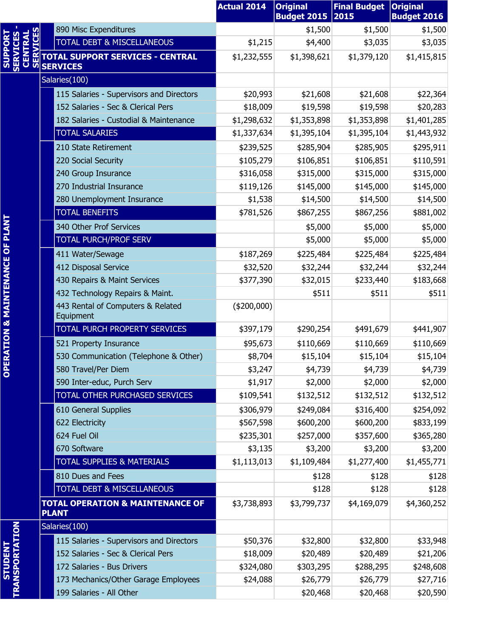|                                                         |                                                             | <b>Actual 2014</b> | <b>Original</b><br><b>Budget 2015</b> | <b>Final Budget</b><br>2015 | <b>Original</b><br><b>Budget 2016</b> |
|---------------------------------------------------------|-------------------------------------------------------------|--------------------|---------------------------------------|-----------------------------|---------------------------------------|
|                                                         | 890 Misc Expenditures                                       |                    | \$1,500                               | \$1,500                     | \$1,500                               |
| <b>VICES</b>                                            | TOTAL DEBT & MISCELLANEOUS                                  | \$1,215            | \$4,400                               | \$3,035                     | \$3,035                               |
| <b>SERVICES</b><br>CENTRAL<br><b>SUPPOR</b><br><u>ທ</u> | <b>TOTAL SUPPORT SERVICES - CENTRAL</b><br><b>SERVICES</b>  | \$1,232,555        | \$1,398,621                           | \$1,379,120                 | \$1,415,815                           |
|                                                         | Salaries(100)                                               |                    |                                       |                             |                                       |
|                                                         | 115 Salaries - Supervisors and Directors                    | \$20,993           | \$21,608                              | \$21,608                    | \$22,364                              |
|                                                         | 152 Salaries - Sec & Clerical Pers                          | \$18,009           | \$19,598                              | \$19,598                    | \$20,283                              |
|                                                         | 182 Salaries - Custodial & Maintenance                      | \$1,298,632        | \$1,353,898                           | \$1,353,898                 | \$1,401,285                           |
|                                                         | <b>TOTAL SALARIES</b>                                       | \$1,337,634        | \$1,395,104                           | \$1,395,104                 | \$1,443,932                           |
|                                                         | 210 State Retirement                                        | \$239,525          | \$285,904                             | \$285,905                   | \$295,911                             |
|                                                         | 220 Social Security                                         | \$105,279          | \$106,851                             | \$106,851                   | \$110,591                             |
|                                                         | 240 Group Insurance                                         | \$316,058          | \$315,000                             | \$315,000                   | \$315,000                             |
|                                                         | 270 Industrial Insurance                                    | \$119,126          | \$145,000                             | \$145,000                   | \$145,000                             |
|                                                         | 280 Unemployment Insurance                                  | \$1,538            | \$14,500                              | \$14,500                    | \$14,500                              |
|                                                         | <b>TOTAL BENEFITS</b>                                       | \$781,526          | \$867,255                             | \$867,256                   | \$881,002                             |
|                                                         | 340 Other Prof Services                                     |                    | \$5,000                               | \$5,000                     | \$5,000                               |
|                                                         | <b>TOTAL PURCH/PROF SERV</b>                                |                    | \$5,000                               | \$5,000                     | \$5,000                               |
|                                                         | 411 Water/Sewage                                            | \$187,269          | \$225,484                             | \$225,484                   | \$225,484                             |
|                                                         | 412 Disposal Service                                        | \$32,520           | \$32,244                              | \$32,244                    | \$32,244                              |
|                                                         | 430 Repairs & Maint Services                                | \$377,390          | \$32,015                              | \$233,440                   | \$183,668                             |
|                                                         | 432 Technology Repairs & Maint.                             |                    | \$511                                 | \$511                       | \$511                                 |
| RATION & MAINTENANCE OF PLANT                           | 443 Rental of Computers & Related<br>Equipment              | $(*200,000)$       |                                       |                             |                                       |
|                                                         | TOTAL PURCH PROPERTY SERVICES                               | \$397,179          | \$290,254                             | \$491,679                   | \$441,907                             |
|                                                         | 521 Property Insurance                                      | \$95,673           | \$110,669                             | \$110,669                   | \$110,669                             |
|                                                         | 530 Communication (Telephone & Other)                       | \$8,704            | \$15,104                              | \$15,104                    | \$15,104                              |
| DE<br>O                                                 | 580 Travel/Per Diem                                         | \$3,247            | \$4,739                               | \$4,739                     | \$4,739                               |
|                                                         | 590 Inter-educ, Purch Serv                                  | \$1,917            | \$2,000                               | \$2,000                     | \$2,000                               |
|                                                         | TOTAL OTHER PURCHASED SERVICES                              | \$109,541          | \$132,512                             | \$132,512                   | \$132,512                             |
|                                                         | 610 General Supplies                                        | \$306,979          | \$249,084                             | \$316,400                   | \$254,092                             |
|                                                         | 622 Electricity                                             | \$567,598          | \$600,200                             | \$600,200                   | \$833,199                             |
|                                                         | 624 Fuel Oil                                                | \$235,301          | \$257,000                             | \$357,600                   | \$365,280                             |
|                                                         | 670 Software                                                | \$3,135            | \$3,200                               | \$3,200                     | \$3,200                               |
|                                                         | <b>TOTAL SUPPLIES &amp; MATERIALS</b>                       | \$1,113,013        | \$1,109,484                           | \$1,277,400                 | \$1,455,771                           |
|                                                         | 810 Dues and Fees                                           |                    | \$128                                 | \$128                       | \$128                                 |
|                                                         | TOTAL DEBT & MISCELLANEOUS                                  |                    | \$128                                 | \$128                       | \$128                                 |
|                                                         | <b>TOTAL OPERATION &amp; MAINTENANCE OF</b><br><b>PLANT</b> | \$3,738,893        | \$3,799,737                           | \$4,169,079                 | \$4,360,252                           |
|                                                         | Salaries(100)                                               |                    |                                       |                             |                                       |
| <b>TRANSPORTATION</b>                                   | 115 Salaries - Supervisors and Directors                    | \$50,376           | \$32,800                              | \$32,800                    | \$33,948                              |
| <b>STUDENT</b>                                          | 152 Salaries - Sec & Clerical Pers                          | \$18,009           | \$20,489                              | \$20,489                    | \$21,206                              |
|                                                         | 172 Salaries - Bus Drivers                                  | \$324,080          | \$303,295                             | \$288,295                   | \$248,608                             |
|                                                         | 173 Mechanics/Other Garage Employees                        | \$24,088           | \$26,779                              | \$26,779                    | \$27,716                              |
|                                                         | 199 Salaries - All Other                                    |                    | \$20,468                              | \$20,468                    | \$20,590                              |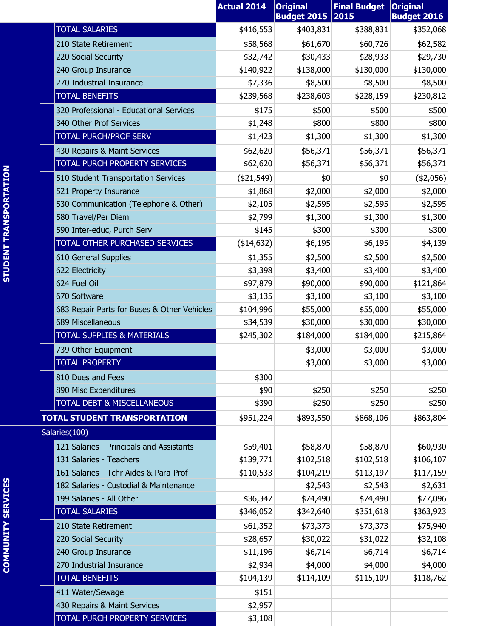|                                             | <b>Actual 2014</b> | <b>Original</b>    | <b>Final Budget</b> | <b>Original</b>    |
|---------------------------------------------|--------------------|--------------------|---------------------|--------------------|
|                                             |                    | <b>Budget 2015</b> | 2015                | <b>Budget 2016</b> |
| <b>TOTAL SALARIES</b>                       | \$416,553          | \$403,831          | \$388,831           | \$352,068          |
| 210 State Retirement                        | \$58,568           | \$61,670           | \$60,726            | \$62,582           |
| 220 Social Security                         | \$32,742           | \$30,433           | \$28,933            | \$29,730           |
| 240 Group Insurance                         | \$140,922          | \$138,000          | \$130,000           | \$130,000          |
| 270 Industrial Insurance                    | \$7,336            | \$8,500            | \$8,500             | \$8,500            |
| <b>TOTAL BENEFITS</b>                       | \$239,568          | \$238,603          | \$228,159           | \$230,812          |
| 320 Professional - Educational Services     | \$175              | \$500              | \$500               | \$500              |
| 340 Other Prof Services                     | \$1,248            | \$800              | \$800               | \$800              |
| <b>TOTAL PURCH/PROF SERV</b>                | \$1,423            | \$1,300            | \$1,300             | \$1,300            |
| 430 Repairs & Maint Services                | \$62,620           | \$56,371           | \$56,371            | \$56,371           |
| TOTAL PURCH PROPERTY SERVICES               | \$62,620           | \$56,371           | \$56,371            | \$56,371           |
| 510 Student Transportation Services         | ( \$21,549)        | \$0                | \$0                 | (42,056)           |
| 521 Property Insurance                      | \$1,868            | \$2,000            | \$2,000             | \$2,000            |
| 530 Communication (Telephone & Other)       | \$2,105            | \$2,595            | \$2,595             | \$2,595            |
| 580 Travel/Per Diem                         | \$2,799            | \$1,300            | \$1,300             | \$1,300            |
| 590 Inter-educ, Purch Serv                  | \$145              | \$300              | \$300               | \$300              |
| TOTAL OTHER PURCHASED SERVICES              | (\$14,632)         | \$6,195            | \$6,195             | \$4,139            |
| 610 General Supplies                        | \$1,355            | \$2,500            | \$2,500             | \$2,500            |
| 622 Electricity                             | \$3,398            | \$3,400            | \$3,400             | \$3,400            |
| 624 Fuel Oil                                | \$97,879           | \$90,000           | \$90,000            | \$121,864          |
| 670 Software                                | \$3,135            | \$3,100            | \$3,100             | \$3,100            |
| 683 Repair Parts for Buses & Other Vehicles | \$104,996          | \$55,000           | \$55,000            | \$55,000           |
| 689 Miscellaneous                           | \$34,539           | \$30,000           | \$30,000            | \$30,000           |
| <b>TOTAL SUPPLIES &amp; MATERIALS</b>       | \$245,302          | \$184,000          | \$184,000           | \$215,864          |
| 739 Other Equipment                         |                    | \$3,000            | \$3,000             | \$3,000            |
| <b>TOTAL PROPERTY</b>                       |                    | \$3,000            | \$3,000             | \$3,000            |
| 810 Dues and Fees                           | \$300              |                    |                     |                    |
| 890 Misc Expenditures                       | \$90               | \$250              | \$250               | \$250              |
| <b>TOTAL DEBT &amp; MISCELLANEOUS</b>       | \$390              | \$250              | \$250               | \$250              |
| <b>TOTAL STUDENT TRANSPORTATION</b>         | \$951,224          | \$893,550          | \$868,106           | \$863,804          |
| Salaries(100)                               |                    |                    |                     |                    |
| 121 Salaries - Principals and Assistants    | \$59,401           | \$58,870           | \$58,870            | \$60,930           |
| 131 Salaries - Teachers                     | \$139,771          | \$102,518          | \$102,518           | \$106,107          |
| 161 Salaries - Tchr Aides & Para-Prof       | \$110,533          | \$104,219          | \$113,197           | \$117,159          |
| 182 Salaries - Custodial & Maintenance      |                    | \$2,543            | \$2,543             | \$2,631            |
| 199 Salaries - All Other                    | \$36,347           | \$74,490           | \$74,490            | \$77,096           |
| <b>TOTAL SALARIES</b>                       | \$346,052          | \$342,640          | \$351,618           | \$363,923          |
| 210 State Retirement                        | \$61,352           | \$73,373           | \$73,373            | \$75,940           |
| 220 Social Security                         | \$28,657           | \$30,022           | \$31,022            | \$32,108           |
| 240 Group Insurance                         | \$11,196           | \$6,714            | \$6,714             | \$6,714            |
| 270 Industrial Insurance                    | \$2,934            | \$4,000            | \$4,000             | \$4,000            |
| <b>TOTAL BENEFITS</b>                       | \$104,139          | \$114,109          | \$115,109           | \$118,762          |
| 411 Water/Sewage                            | \$151              |                    |                     |                    |
| 430 Repairs & Maint Services                | \$2,957            |                    |                     |                    |
| TOTAL PURCH PROPERTY SERVICES               | \$3,108            |                    |                     |                    |
|                                             |                    |                    |                     |                    |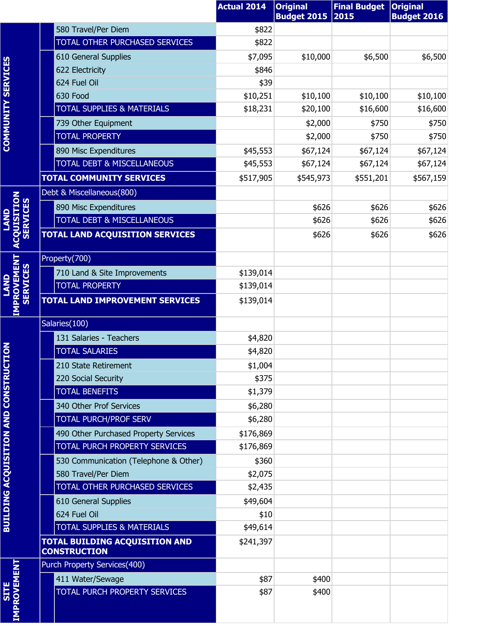|                                           |                                                              | <b>Actual 2014</b> | <b>Original</b>         | <b>Final Budget</b> | <b>Original</b>    |
|-------------------------------------------|--------------------------------------------------------------|--------------------|-------------------------|---------------------|--------------------|
|                                           |                                                              |                    | <b>Budget 2015 2015</b> |                     | <b>Budget 2016</b> |
|                                           | 580 Travel/Per Diem                                          | \$822              |                         |                     |                    |
|                                           | TOTAL OTHER PURCHASED SERVICES                               | \$822              |                         |                     |                    |
|                                           | 610 General Supplies                                         | \$7,095            | \$10,000                | \$6,500             | \$6,500            |
|                                           | 622 Electricity<br>624 Fuel Oil                              | \$846<br>\$39      |                         |                     |                    |
|                                           | 630 Food                                                     | \$10,251           | \$10,100                | \$10,100            | \$10,100           |
|                                           | <b>TOTAL SUPPLIES &amp; MATERIALS</b>                        | \$18,231           | \$20,100                | \$16,600            | \$16,600           |
|                                           | 739 Other Equipment                                          |                    | \$2,000                 | \$750               | \$750              |
| <b>COMMUNITY SERVICES</b>                 | <b>TOTAL PROPERTY</b>                                        |                    | \$2,000                 | \$750               | \$750              |
|                                           | 890 Misc Expenditures                                        | \$45,553           | \$67,124                | \$67,124            | \$67,124           |
|                                           | <b>TOTAL DEBT &amp; MISCELLANEOUS</b>                        | \$45,553           | \$67,124                | \$67,124            | \$67,124           |
|                                           | <b>TOTAL COMMUNITY SERVICES</b>                              | \$517,905          | \$545,973               | \$551,201           | \$567,159          |
|                                           | Debt & Miscellaneous(800)                                    |                    |                         |                     |                    |
|                                           | 890 Misc Expenditures                                        |                    | \$626                   | \$626               | \$626              |
| <b>ACQUISITION</b><br><b>SERVICES</b>     | TOTAL DEBT & MISCELLANEOUS                                   |                    | \$626                   | \$626               | \$626              |
|                                           | <b>TOTAL LAND ACQUISITION SERVICES</b>                       |                    | \$626                   | \$626               | \$626              |
|                                           |                                                              |                    |                         |                     |                    |
|                                           | Property(700)                                                |                    |                         |                     |                    |
| <b>SERVICES</b>                           | 710 Land & Site Improvements                                 | \$139,014          |                         |                     |                    |
|                                           | <b>TOTAL PROPERTY</b>                                        | \$139,014          |                         |                     |                    |
| <b>IMPROVEMENT</b>                        | <b>TOTAL LAND IMPROVEMENT SERVICES</b>                       | \$139,014          |                         |                     |                    |
|                                           | Salaries(100)                                                |                    |                         |                     |                    |
|                                           | 131 Salaries - Teachers                                      | \$4,820            |                         |                     |                    |
| <b>TION</b>                               | <b>TOTAL SALARIES</b>                                        | \$4,820            |                         |                     |                    |
|                                           | 210 State Retirement                                         | \$1,004            |                         |                     |                    |
|                                           | 220 Social Security                                          | \$375              |                         |                     |                    |
|                                           | <b>TOTAL BENEFITS</b>                                        | \$1,379            |                         |                     |                    |
|                                           | 340 Other Prof Services                                      | \$6,280            |                         |                     |                    |
| <b>BUILDING ACQUISITION AND CONSTRUCT</b> | <b>TOTAL PURCH/PROF SERV</b>                                 | \$6,280            |                         |                     |                    |
|                                           | 490 Other Purchased Property Services                        | \$176,869          |                         |                     |                    |
|                                           | TOTAL PURCH PROPERTY SERVICES                                | \$176,869          |                         |                     |                    |
|                                           | 530 Communication (Telephone & Other)                        | \$360              |                         |                     |                    |
|                                           | 580 Travel/Per Diem                                          | \$2,075            |                         |                     |                    |
|                                           | TOTAL OTHER PURCHASED SERVICES                               | \$2,435            |                         |                     |                    |
|                                           | 610 General Supplies                                         | \$49,604           |                         |                     |                    |
|                                           | 624 Fuel Oil                                                 | \$10               |                         |                     |                    |
|                                           | TOTAL SUPPLIES & MATERIALS                                   | \$49,614           |                         |                     |                    |
|                                           | <b>TOTAL BUILDING ACQUISITION AND</b><br><b>CONSTRUCTION</b> | \$241,397          |                         |                     |                    |
|                                           | Purch Property Services(400)                                 |                    |                         |                     |                    |
|                                           | 411 Water/Sewage                                             | \$87               | \$400                   |                     |                    |
| <b>SITE</b>                               | TOTAL PURCH PROPERTY SERVICES                                | \$87               | \$400                   |                     |                    |
| <b>IMPROVEMENT</b>                        |                                                              |                    |                         |                     |                    |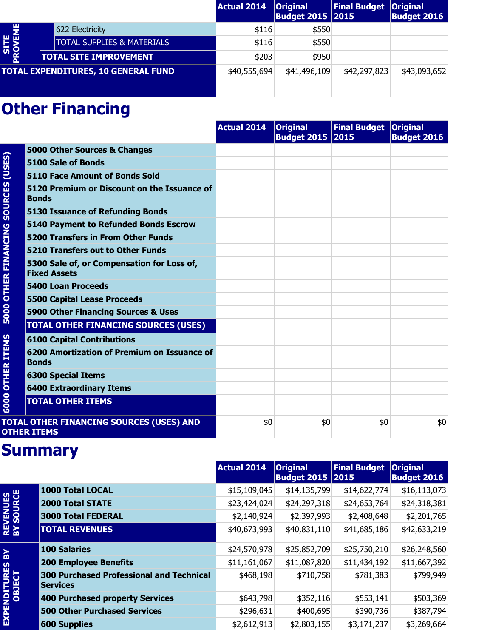|                        |                                            | Actual 2014  | <b>Original</b><br><b>Budget 2015 2015</b> | <b>Final Budget</b> | <b>Original</b><br><b>Budget 2016</b> |
|------------------------|--------------------------------------------|--------------|--------------------------------------------|---------------------|---------------------------------------|
|                        | 622 Electricity                            | \$116        | \$550                                      |                     |                                       |
|                        | <b>TOTAL SUPPLIES &amp; MATERIALS</b>      | \$116        | \$550                                      |                     |                                       |
| <b>SITE</b><br>PROVEME | <b>TOTAL SITE IMPROVEMENT</b>              | \$203        | \$950                                      |                     |                                       |
|                        | <b>TOTAL EXPENDITURES, 10 GENERAL FUND</b> | \$40,555,694 | \$41,496,109                               | \$42,297,823        | \$43,093,652                          |
|                        |                                            |              |                                            |                     |                                       |

|                                     |                                                                   | <b>Actual 2014</b> | <b>Original</b><br><b>Budget 2015 2015</b> | Final Budget Original | <b>Budget 2016</b> |
|-------------------------------------|-------------------------------------------------------------------|--------------------|--------------------------------------------|-----------------------|--------------------|
|                                     | 5000 Other Sources & Changes                                      |                    |                                            |                       |                    |
| (USES)                              | 5100 Sale of Bonds                                                |                    |                                            |                       |                    |
|                                     | <b>5110 Face Amount of Bonds Sold</b>                             |                    |                                            |                       |                    |
|                                     | 5120 Premium or Discount on the Issuance of<br><b>Bonds</b>       |                    |                                            |                       |                    |
|                                     | <b>5130 Issuance of Refunding Bonds</b>                           |                    |                                            |                       |                    |
|                                     | <b>5140 Payment to Refunded Bonds Escrow</b>                      |                    |                                            |                       |                    |
|                                     | <b>5200 Transfers in From Other Funds</b>                         |                    |                                            |                       |                    |
|                                     | <b>5210 Transfers out to Other Funds</b>                          |                    |                                            |                       |                    |
| <b>5000 OTHER FINANCING SOURCES</b> | 5300 Sale of, or Compensation for Loss of,<br><b>Fixed Assets</b> |                    |                                            |                       |                    |
|                                     | <b>5400 Loan Proceeds</b>                                         |                    |                                            |                       |                    |
|                                     | <b>5500 Capital Lease Proceeds</b>                                |                    |                                            |                       |                    |
|                                     | 5900 Other Financing Sources & Uses                               |                    |                                            |                       |                    |
|                                     | <b>TOTAL OTHER FINANCING SOURCES (USES)</b>                       |                    |                                            |                       |                    |
|                                     | <b>6100 Capital Contributions</b>                                 |                    |                                            |                       |                    |
| <b>OTHER ITEMS</b>                  | 6200 Amortization of Premium on Issuance of<br><b>Bonds</b>       |                    |                                            |                       |                    |
|                                     | <b>6300 Special Items</b>                                         |                    |                                            |                       |                    |
|                                     | <b>6400 Extraordinary Items</b>                                   |                    |                                            |                       |                    |
| 6000                                | <b>TOTAL OTHER ITEMS</b>                                          |                    |                                            |                       |                    |
|                                     | TOTAL OTHER FINANCING SOURCES (USES) AND<br><b>OTHER ITEMS</b>    | \$0                | \$0                                        | \$0                   | \$0                |

|                               |                                                                    | <b>Actual 2014</b> | <b>Original</b><br><b>Budget 2015 2015</b> | <b>Final Budget</b> | <b>Original</b><br><b>Budget 2016</b> |
|-------------------------------|--------------------------------------------------------------------|--------------------|--------------------------------------------|---------------------|---------------------------------------|
|                               | 1000 Total LOCAL                                                   | \$15,109,045       | \$14,135,799                               | \$14,622,774        | \$16,113,073                          |
|                               | <b>2000 Total STATE</b>                                            | \$23,424,024       | \$24,297,318                               | \$24,653,764        | \$24,318,381                          |
|                               | <b>3000 Total FEDERAL</b>                                          | \$2,140,924        | \$2,397,993                                | \$2,408,648         | \$2,201,765                           |
| <b>REVENUES<br/>BY SOURCE</b> | <b>TOTAL REVENUES</b>                                              | \$40,673,993       | \$40,831,110                               | \$41,685,186        | \$42,633,219                          |
| $\mathbf{B}$                  | <b>100 Salaries</b>                                                | \$24,570,978       | \$25,852,709                               | \$25,750,210        | \$26,248,560                          |
|                               | <b>200 Employee Benefits</b>                                       | \$11,161,067       | \$11,087,820                               | \$11,434,192        | \$11,667,392                          |
| EXPENDITURES<br>OBJECT        | <b>300 Purchased Professional and Technical</b><br><b>Services</b> | \$468,198          | \$710,758                                  | \$781,383           | \$799,949                             |
|                               | <b>400 Purchased property Services</b>                             | \$643,798          | \$352,116                                  | \$553,141           | \$503,369                             |
|                               | <b>500 Other Purchased Services</b>                                | \$296,631          | \$400,695                                  | \$390,736           | \$387,794                             |
|                               | <b>600 Supplies</b>                                                | \$2,612,913        | \$2,803,155                                | \$3,171,237         | \$3,269,664                           |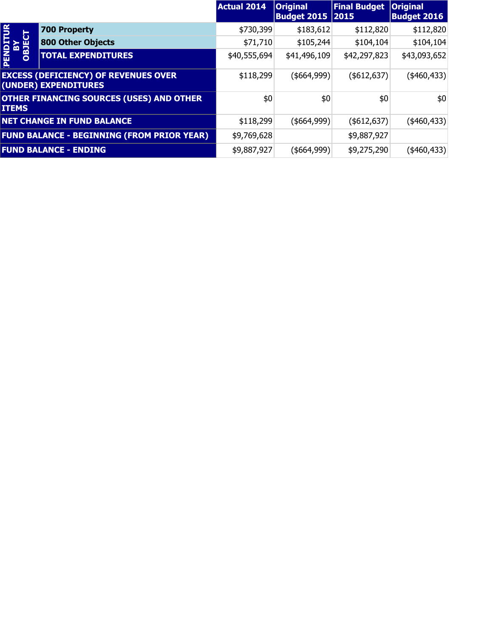|                          |                                                                     | <b>Actual 2014</b> | <b>Original</b><br><b>Budget 2015   2015</b> | <b>Final Budget</b> | <b>Original</b><br><b>Budget 2016</b> |
|--------------------------|---------------------------------------------------------------------|--------------------|----------------------------------------------|---------------------|---------------------------------------|
|                          | <b>700 Property</b>                                                 | \$730,399          | \$183,612                                    | \$112,820           | \$112,820                             |
|                          | <b>800 Other Objects</b>                                            | \$71,710           | \$105,244                                    | \$104,104           | \$104,104                             |
| PENDITUR<br>BY<br>OBJECT | <b>TOTAL EXPENDITURES</b>                                           | \$40,555,694       | \$41,496,109                                 | \$42,297,823        | \$43,093,652                          |
|                          | <b>EXCESS (DEFICIENCY) OF REVENUES OVER</b><br>(UNDER) EXPENDITURES | \$118,299          | ( \$664, 999)                                | ( \$612, 637)       | $(*460,433)$                          |
| <b>ITEMS</b>             | <b>OTHER FINANCING SOURCES (USES) AND OTHER</b>                     | \$0                | \$0                                          | \$0                 | \$0                                   |
|                          | <b>NET CHANGE IN FUND BALANCE</b>                                   | \$118,299          | (\$664,999)                                  | $($ \$612,637)      | $(*460,433)$                          |
|                          | <b>FUND BALANCE - BEGINNING (FROM PRIOR YEAR)</b>                   | \$9,769,628        |                                              | \$9,887,927         |                                       |
|                          | <b>FUND BALANCE - ENDING</b>                                        | \$9,887,927        | (\$664,999)                                  | \$9,275,290         | $(*460,433)$                          |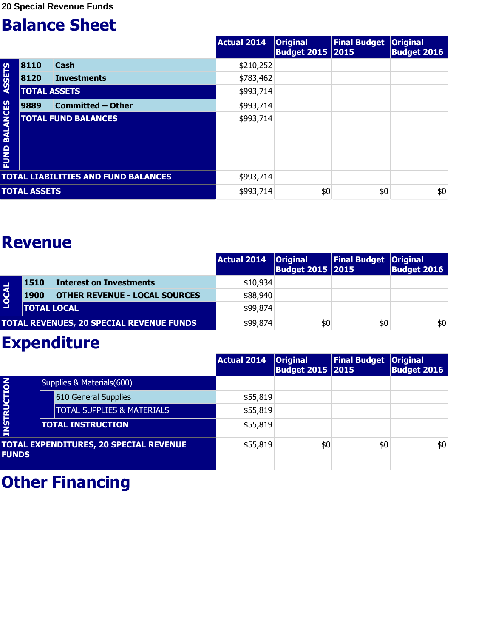|                                |                     |                                            | <b>Actual 2014</b> | <b>Original</b><br><b>Budget 2015 2015</b> | Final Budget   Original | <b>Budget 2016</b> |
|--------------------------------|---------------------|--------------------------------------------|--------------------|--------------------------------------------|-------------------------|--------------------|
|                                | 8110                | <b>Cash</b>                                | \$210,252          |                                            |                         |                    |
| <b>ASSETS</b>                  | 8120                | <b>Investments</b>                         | \$783,462          |                                            |                         |                    |
|                                |                     | <b>TOTAL ASSETS</b>                        | \$993,714          |                                            |                         |                    |
|                                | 9889                | <b>Committed - Other</b>                   | \$993,714          |                                            |                         |                    |
| <b>BALANCES</b><br><b>EUND</b> |                     | <b>TOTAL FUND BALANCES</b>                 | \$993,714          |                                            |                         |                    |
|                                |                     | <b>TOTAL LIABILITIES AND FUND BALANCES</b> | \$993,714          |                                            |                         |                    |
|                                | <b>TOTAL ASSETS</b> |                                            | \$993,714          | \$0                                        | \$0                     | \$0                |

#### **Revenue**

|              |                    |                                                 | Actual 2014   Original | <b>Budget 2015 2015</b> | <b>Final Budget Original</b> | <b>Budget 2016</b> |
|--------------|--------------------|-------------------------------------------------|------------------------|-------------------------|------------------------------|--------------------|
|              | <b>1510</b>        | <b>Interest on Investments</b>                  | \$10,934               |                         |                              |                    |
| <b>LOCAL</b> | <b>1900</b>        | <b>OTHER REVENUE - LOCAL SOURCES</b>            | \$88,940               |                         |                              |                    |
|              | <b>TOTAL LOCAL</b> |                                                 | \$99,874               |                         |                              |                    |
|              |                    | <b>TOTAL REVENUES, 20 SPECIAL REVENUE FUNDS</b> | \$99,874               | \$0                     | \$0                          | \$0                |

#### **Expenditure**

|              |                                               | <b>Actual 2014</b> | <b>Original</b><br><b>Budget 2015 2015</b> | <b>Final Budget   Original</b> | <b>Budget 2016</b> |
|--------------|-----------------------------------------------|--------------------|--------------------------------------------|--------------------------------|--------------------|
|              | Supplies & Materials(600)                     |                    |                                            |                                |                    |
|              | 610 General Supplies                          | \$55,819           |                                            |                                |                    |
|              | <b>TOTAL SUPPLIES &amp; MATERIALS</b>         | \$55,819           |                                            |                                |                    |
| INSTRUCTION  | <b>TOTAL INSTRUCTION</b>                      | \$55,819           |                                            |                                |                    |
| <b>FUNDS</b> | <b>TOTAL EXPENDITURES, 20 SPECIAL REVENUE</b> | \$55,819           | \$0                                        | \$0                            | \$0                |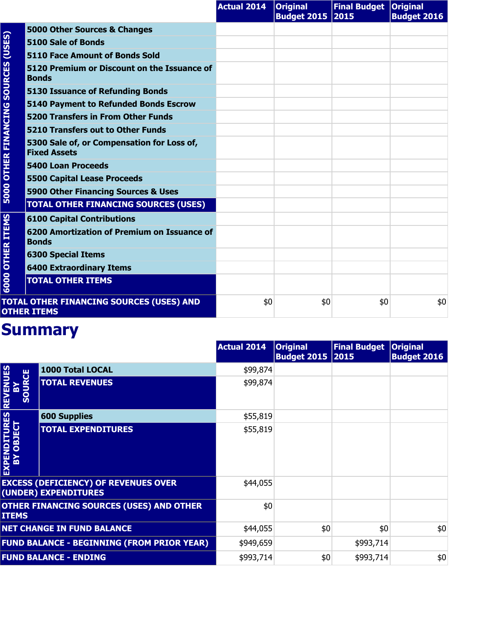|                        |                                                                   | <b>Actual 2014</b> | <b>Original</b><br><b>Budget 2015 2015</b> | <b>Final Budget Original</b> | <b>Budget 2016</b> |
|------------------------|-------------------------------------------------------------------|--------------------|--------------------------------------------|------------------------------|--------------------|
| (USES)                 | 5000 Other Sources & Changes                                      |                    |                                            |                              |                    |
|                        | 5100 Sale of Bonds                                                |                    |                                            |                              |                    |
|                        | <b>5110 Face Amount of Bonds Sold</b>                             |                    |                                            |                              |                    |
| <b>SOURCES</b>         | 5120 Premium or Discount on the Issuance of<br><b>Bonds</b>       |                    |                                            |                              |                    |
|                        | <b>5130 Issuance of Refunding Bonds</b>                           |                    |                                            |                              |                    |
|                        | <b>5140 Payment to Refunded Bonds Escrow</b>                      |                    |                                            |                              |                    |
|                        | <b>5200 Transfers in From Other Funds</b>                         |                    |                                            |                              |                    |
|                        | 5210 Transfers out to Other Funds                                 |                    |                                            |                              |                    |
| <b>OTHER FINANCING</b> | 5300 Sale of, or Compensation for Loss of,<br><b>Fixed Assets</b> |                    |                                            |                              |                    |
|                        | <b>5400 Loan Proceeds</b>                                         |                    |                                            |                              |                    |
|                        | <b>5500 Capital Lease Proceeds</b>                                |                    |                                            |                              |                    |
| 5000                   | 5900 Other Financing Sources & Uses                               |                    |                                            |                              |                    |
|                        | <b>TOTAL OTHER FINANCING SOURCES (USES)</b>                       |                    |                                            |                              |                    |
|                        | <b>6100 Capital Contributions</b>                                 |                    |                                            |                              |                    |
| <b>OTHER ITEMS</b>     | 6200 Amortization of Premium on Issuance of<br><b>Bonds</b>       |                    |                                            |                              |                    |
|                        | <b>6300 Special Items</b>                                         |                    |                                            |                              |                    |
|                        | <b>6400 Extraordinary Items</b>                                   |                    |                                            |                              |                    |
| 6000                   | <b>TOTAL OTHER ITEMS</b>                                          |                    |                                            |                              |                    |
|                        | TOTAL OTHER FINANCING SOURCES (USES) AND<br><b>OTHER ITEMS</b>    | \$0                | \$0                                        | \$0                          | \$0                |

|                                       |                                                                     | <b>Actual 2014</b> | <b>Original</b><br><b>Budget 2015 2015</b> | <b>Final Budget</b> | <b>Original</b><br><b>Budget 2016</b> |
|---------------------------------------|---------------------------------------------------------------------|--------------------|--------------------------------------------|---------------------|---------------------------------------|
|                                       | 1000 Total LOCAL                                                    | \$99,874           |                                            |                     |                                       |
| <b>REVENUES</b><br><b>SOURCE</b><br>m | <b>TOTAL REVENUES</b>                                               | \$99,874           |                                            |                     |                                       |
|                                       | <b>600 Supplies</b>                                                 | \$55,819           |                                            |                     |                                       |
| EXPENDITURES<br>BY OBJECT             | <b>TOTAL EXPENDITURES</b>                                           | \$55,819           |                                            |                     |                                       |
|                                       | <b>EXCESS (DEFICIENCY) OF REVENUES OVER</b><br>(UNDER) EXPENDITURES | \$44,055           |                                            |                     |                                       |
| <b>ITEMS</b>                          | <b>OTHER FINANCING SOURCES (USES) AND OTHER</b>                     | \$0                |                                            |                     |                                       |
|                                       | <b>NET CHANGE IN FUND BALANCE</b>                                   | \$44,055           | \$0                                        | \$0                 | \$0                                   |
|                                       | <b>FUND BALANCE - BEGINNING (FROM PRIOR YEAR)</b>                   | \$949,659          |                                            | \$993,714           |                                       |
|                                       | <b>FUND BALANCE - ENDING</b>                                        | \$993,714          | \$0                                        | \$993,714           | \$0                                   |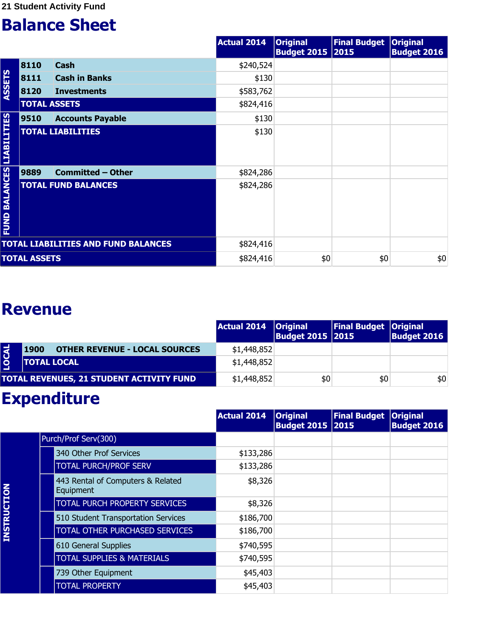|                                |                     |                                            | <b>Actual 2014</b> | <b>Original</b><br><b>Budget 2015 2015</b> | <b>Final Budget</b> | <b>Original</b><br><b>Budget 2016</b> |
|--------------------------------|---------------------|--------------------------------------------|--------------------|--------------------------------------------|---------------------|---------------------------------------|
|                                | 8110                | <b>Cash</b>                                | \$240,524          |                                            |                     |                                       |
|                                | 8111                | <b>Cash in Banks</b>                       | \$130              |                                            |                     |                                       |
| <b>ASSETS</b>                  | 8120                | <b>Investments</b>                         | \$583,762          |                                            |                     |                                       |
|                                | <b>TOTAL ASSETS</b> |                                            | \$824,416          |                                            |                     |                                       |
|                                | 9510                | <b>Accounts Payable</b>                    | \$130              |                                            |                     |                                       |
| <b>LIABILITIES</b>             |                     | <b>TOTAL LIABILITIES</b>                   | \$130              |                                            |                     |                                       |
|                                | 9889                | <b>Committed - Other</b>                   | \$824,286          |                                            |                     |                                       |
| <b>BALANCES</b><br><b>FUND</b> |                     | <b>TOTAL FUND BALANCES</b>                 | \$824,286          |                                            |                     |                                       |
|                                |                     | <b>TOTAL LIABILITIES AND FUND BALANCES</b> | \$824,416          |                                            |                     |                                       |
|                                | <b>TOTAL ASSETS</b> |                                            | \$824,416          | \$0                                        | \$0                 | \$0                                   |

#### **Revenue**

|             |                                              | Actual 2014   Original | <b>Budget 2015 2015</b> | Final Budget   Original | <b>Budget 2016</b> |
|-------------|----------------------------------------------|------------------------|-------------------------|-------------------------|--------------------|
| <b>OCAL</b> | <b>OTHER REVENUE - LOCAL SOURCES</b><br>1900 | \$1,448,852            |                         |                         |                    |
|             | <b>TOTAL LOCAL</b>                           | \$1,448,852            |                         |                         |                    |
|             | TOTAL REVENUES, 21 STUDENT ACTIVITY FUND     | \$1,448,852            | \$0                     | \$0                     | \$0                |

|                    |                                                | <b>Actual 2014</b> | <b>Original</b><br><b>Budget 2015 2015</b> | <b>Final Budget</b> | <b>Original</b><br><b>Budget 2016</b> |
|--------------------|------------------------------------------------|--------------------|--------------------------------------------|---------------------|---------------------------------------|
|                    | Purch/Prof Serv(300)                           |                    |                                            |                     |                                       |
|                    | 340 Other Prof Services                        | \$133,286          |                                            |                     |                                       |
|                    | <b>TOTAL PURCH/PROF SERV</b>                   | \$133,286          |                                            |                     |                                       |
|                    | 443 Rental of Computers & Related<br>Equipment | \$8,326            |                                            |                     |                                       |
|                    | <b>TOTAL PURCH PROPERTY SERVICES</b>           | \$8,326            |                                            |                     |                                       |
|                    | 510 Student Transportation Services            | \$186,700          |                                            |                     |                                       |
| <b>INSTRUCTION</b> | <b>TOTAL OTHER PURCHASED SERVICES</b>          | \$186,700          |                                            |                     |                                       |
|                    | 610 General Supplies                           | \$740,595          |                                            |                     |                                       |
|                    | <b>TOTAL SUPPLIES &amp; MATERIALS</b>          | \$740,595          |                                            |                     |                                       |
|                    | 739 Other Equipment                            | \$45,403           |                                            |                     |                                       |
|                    | <b>TOTAL PROPERTY</b>                          | \$45,403           |                                            |                     |                                       |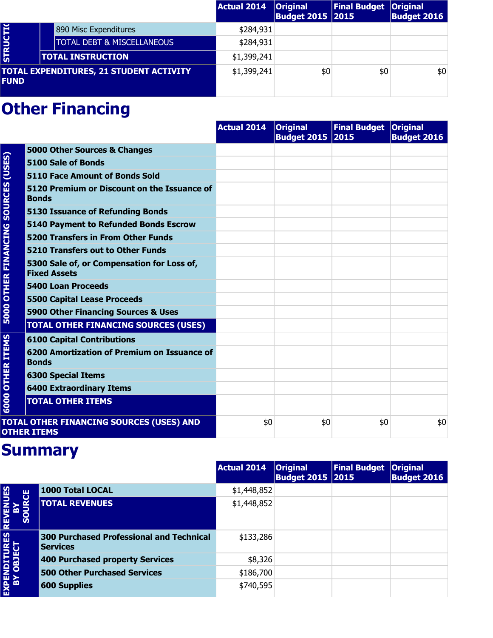|                 |                                                | Actual 2014 | <b>Original</b><br><b>Budget 2015 2015</b> | <b>Final Budget Original</b> | <b>Budget 2016</b> |
|-----------------|------------------------------------------------|-------------|--------------------------------------------|------------------------------|--------------------|
|                 | 890 Misc Expenditures                          | \$284,931   |                                            |                              |                    |
| <b>STRUCTIO</b> | <b>TOTAL DEBT &amp; MISCELLANEOUS</b>          | \$284,931   |                                            |                              |                    |
|                 | <b>TOTAL INSTRUCTION</b>                       | \$1,399,241 |                                            |                              |                    |
| <b>FUND</b>     | <b>TOTAL EXPENDITURES, 21 STUDENT ACTIVITY</b> | \$1,399,241 | \$0                                        | \$0                          | \$0                |

|                             |                                                                   | <b>Actual 2014</b> | <b>Original</b><br><b>Budget 2015 2015</b> | Final Budget Original | <b>Budget 2016</b> |
|-----------------------------|-------------------------------------------------------------------|--------------------|--------------------------------------------|-----------------------|--------------------|
| (USES)<br><b>SOURCES</b>    | 5000 Other Sources & Changes                                      |                    |                                            |                       |                    |
|                             | 5100 Sale of Bonds                                                |                    |                                            |                       |                    |
|                             | <b>5110 Face Amount of Bonds Sold</b>                             |                    |                                            |                       |                    |
|                             | 5120 Premium or Discount on the Issuance of<br><b>Bonds</b>       |                    |                                            |                       |                    |
|                             | <b>5130 Issuance of Refunding Bonds</b>                           |                    |                                            |                       |                    |
|                             | <b>5140 Payment to Refunded Bonds Escrow</b>                      |                    |                                            |                       |                    |
|                             | <b>5200 Transfers in From Other Funds</b>                         |                    |                                            |                       |                    |
|                             | <b>5210 Transfers out to Other Funds</b>                          |                    |                                            |                       |                    |
| <b>5000 OTHER FINANCING</b> | 5300 Sale of, or Compensation for Loss of,<br><b>Fixed Assets</b> |                    |                                            |                       |                    |
|                             | <b>5400 Loan Proceeds</b>                                         |                    |                                            |                       |                    |
|                             | <b>5500 Capital Lease Proceeds</b>                                |                    |                                            |                       |                    |
|                             | 5900 Other Financing Sources & Uses                               |                    |                                            |                       |                    |
|                             | <b>TOTAL OTHER FINANCING SOURCES (USES)</b>                       |                    |                                            |                       |                    |
|                             | <b>6100 Capital Contributions</b>                                 |                    |                                            |                       |                    |
| <b>OTHER ITEMS</b>          | 6200 Amortization of Premium on Issuance of<br><b>Bonds</b>       |                    |                                            |                       |                    |
|                             | <b>6300 Special Items</b>                                         |                    |                                            |                       |                    |
|                             | <b>6400 Extraordinary Items</b>                                   |                    |                                            |                       |                    |
| 6000                        | <b>TOTAL OTHER ITEMS</b>                                          |                    |                                            |                       |                    |
|                             | TOTAL OTHER FINANCING SOURCES (USES) AND<br><b>OTHER ITEMS</b>    | \$0                | \$0                                        | \$0                   | \$0                |

|                              |                                                                    | <b>Actual 2014</b> | <b>Original</b><br><b>Budget 2015 2015</b> | Final Budget   Original | <b>Budget 2016</b> |
|------------------------------|--------------------------------------------------------------------|--------------------|--------------------------------------------|-------------------------|--------------------|
|                              | 1000 Total LOCAL                                                   | \$1,448,852        |                                            |                         |                    |
| REVENUES<br>ROE<br><u>ငွ</u> | <b>TOTAL REVENUES</b>                                              | \$1,448,852        |                                            |                         |                    |
|                              | <b>300 Purchased Professional and Technical</b><br><b>Services</b> | \$133,286          |                                            |                         |                    |
| EXPENDITURES                 | 400 Purchased property Services                                    | \$8,326            |                                            |                         |                    |
|                              | <b>500 Other Purchased Services</b>                                | \$186,700          |                                            |                         |                    |
|                              | <b>600 Supplies</b>                                                | \$740,595          |                                            |                         |                    |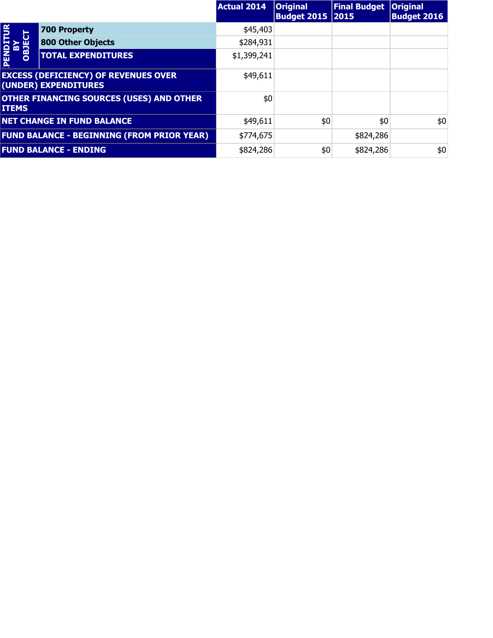|                              |                                                                     | <b>Actual 2014</b> | <b>Original</b><br><b>Budget 2015   2015</b> | <b>Final Budget</b> | <b>Original</b><br><b>Budget 2016</b> |
|------------------------------|---------------------------------------------------------------------|--------------------|----------------------------------------------|---------------------|---------------------------------------|
| $\overline{P}$               | <b>700 Property</b>                                                 | \$45,403           |                                              |                     |                                       |
| <b>BY<br/>OBJECT</b>         | <b>800 Other Objects</b>                                            | \$284,931          |                                              |                     |                                       |
| PENDIT                       | <b>TOTAL EXPENDITURES</b>                                           | \$1,399,241        |                                              |                     |                                       |
|                              | <b>EXCESS (DEFICIENCY) OF REVENUES OVER</b><br>(UNDER) EXPENDITURES | \$49,611           |                                              |                     |                                       |
| <b>ITEMS</b>                 | <b>OTHER FINANCING SOURCES (USES) AND OTHER</b>                     | \$0                |                                              |                     |                                       |
|                              | <b>NET CHANGE IN FUND BALANCE</b>                                   | \$49,611           | \$0                                          | \$0                 | \$0                                   |
|                              | <b>FUND BALANCE - BEGINNING (FROM PRIOR YEAR)</b>                   | \$774,675          |                                              | \$824,286           |                                       |
| <b>FUND BALANCE - ENDING</b> |                                                                     | \$824,286          | \$0                                          | \$824,286           | \$0                                   |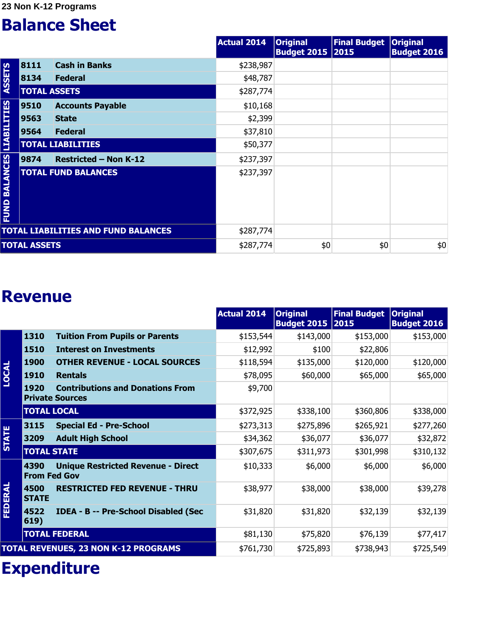**23 Non K-12 Programs** 

#### **Balance Sheet**

|                                  |                     |                                            | <b>Actual 2014</b> | <b>Original</b><br><b>Budget 2015 2015</b> | <b>Final Budget</b> | <b>Original</b><br><b>Budget 2016</b> |
|----------------------------------|---------------------|--------------------------------------------|--------------------|--------------------------------------------|---------------------|---------------------------------------|
|                                  | 8111                | <b>Cash in Banks</b>                       | \$238,987          |                                            |                     |                                       |
| <b>ASSETS</b>                    | 8134                | <b>Federal</b>                             | \$48,787           |                                            |                     |                                       |
|                                  | <b>TOTAL ASSETS</b> |                                            | \$287,774          |                                            |                     |                                       |
|                                  | 9510                | <b>Accounts Payable</b>                    | \$10,168           |                                            |                     |                                       |
|                                  | 9563                | <b>State</b>                               | \$2,399            |                                            |                     |                                       |
|                                  | 9564                | <b>Federal</b>                             | \$37,810           |                                            |                     |                                       |
|                                  |                     | <b>TOTAL LIABILITIES</b>                   | \$50,377           |                                            |                     |                                       |
|                                  | 9874                | <b>Restricted - Non K-12</b>               | \$237,397          |                                            |                     |                                       |
| <b>FUND BALANCES LIABILITIES</b> |                     | <b>TOTAL FUND BALANCES</b>                 | \$237,397          |                                            |                     |                                       |
|                                  |                     | <b>TOTAL LIABILITIES AND FUND BALANCES</b> | \$287,774          |                                            |                     |                                       |
|                                  | <b>TOTAL ASSETS</b> |                                            | \$287,774          | \$0                                        | \$0                 | \$0                                   |

#### **Revenue**

|              |                             |                                                                   | <b>Actual 2014</b> | <b>Original</b><br><b>Budget 2015 2015</b> | <b>Final Budget</b> | <b>Original</b><br><b>Budget 2016</b> |
|--------------|-----------------------------|-------------------------------------------------------------------|--------------------|--------------------------------------------|---------------------|---------------------------------------|
|              | 1310                        | <b>Tuition From Pupils or Parents</b>                             | \$153,544          | \$143,000                                  | \$153,000           | \$153,000                             |
|              | 1510                        | <b>Interest on Investments</b>                                    | \$12,992           | \$100                                      | \$22,806            |                                       |
|              | <b>1900</b>                 | <b>OTHER REVENUE - LOCAL SOURCES</b>                              | \$118,594          | \$135,000                                  | \$120,000           | \$120,000                             |
| <b>LOCAL</b> | <b>1910</b>                 | <b>Rentals</b>                                                    | \$78,095           | \$60,000                                   | \$65,000            | \$65,000                              |
|              | 1920                        | <b>Contributions and Donations From</b><br><b>Private Sources</b> | \$9,700            |                                            |                     |                                       |
|              | <b>TOTAL LOCAL</b>          |                                                                   | \$372,925          | \$338,100                                  | \$360,806           | \$338,000                             |
|              | 3115                        | <b>Special Ed - Pre-School</b>                                    | \$273,313          | \$275,896                                  | \$265,921           | \$277,260                             |
| <b>STATE</b> | 3209                        | <b>Adult High School</b>                                          | \$34,362           | \$36,077                                   | \$36,077            | \$32,872                              |
|              | <b>TOTAL STATE</b>          |                                                                   | \$307,675          | \$311,973                                  | \$301,998           | \$310,132                             |
|              | 4390<br><b>From Fed Gov</b> | <b>Unique Restricted Revenue - Direct</b>                         | \$10,333           | \$6,000                                    | \$6,000             | \$6,000                               |
| FEDERAL      | 4500<br><b>STATE</b>        | <b>RESTRICTED FED REVENUE - THRU</b>                              | \$38,977           | \$38,000                                   | \$38,000            | \$39,278                              |
|              | 4522<br>619)                | <b>IDEA - B -- Pre-School Disabled (Sec</b>                       | \$31,820           | \$31,820                                   | \$32,139            | \$32,139                              |
|              |                             | <b>TOTAL FEDERAL</b>                                              | \$81,130           | \$75,820                                   | \$76,139            | \$77,417                              |
|              |                             | <b>TOTAL REVENUES, 23 NON K-12 PROGRAMS</b>                       | \$761,730          | \$725,893                                  | \$738,943           | \$725,549                             |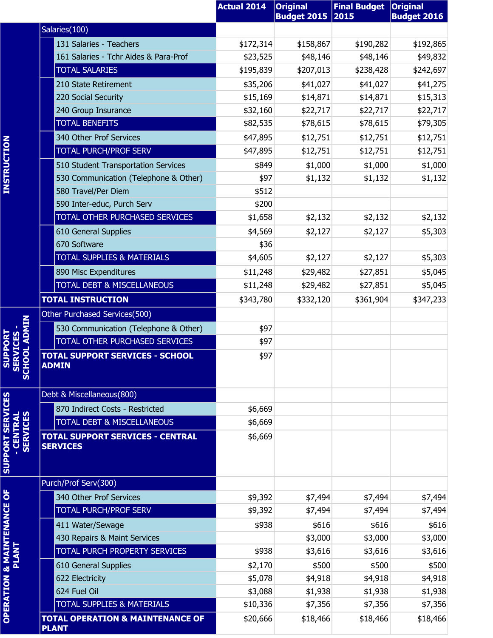|                                                              |                                                             | <b>Actual 2014</b> | <b>Original</b><br><b>Budget 2015</b> | <b>Final Budget</b><br>2015 | <b>Original</b><br><b>Budget 2016</b> |
|--------------------------------------------------------------|-------------------------------------------------------------|--------------------|---------------------------------------|-----------------------------|---------------------------------------|
|                                                              | Salaries(100)                                               |                    |                                       |                             |                                       |
|                                                              | 131 Salaries - Teachers                                     | \$172,314          | \$158,867                             | \$190,282                   | \$192,865                             |
|                                                              | 161 Salaries - Tchr Aides & Para-Prof                       | \$23,525           | \$48,146                              | \$48,146                    | \$49,832                              |
|                                                              | <b>TOTAL SALARIES</b>                                       | \$195,839          | \$207,013                             | \$238,428                   | \$242,697                             |
|                                                              | 210 State Retirement                                        | \$35,206           | \$41,027                              | \$41,027                    | \$41,275                              |
|                                                              | 220 Social Security                                         | \$15,169           | \$14,871                              | \$14,871                    | \$15,313                              |
|                                                              | 240 Group Insurance                                         | \$32,160           | \$22,717                              | \$22,717                    | \$22,717                              |
|                                                              | <b>TOTAL BENEFITS</b>                                       | \$82,535           | \$78,615                              | \$78,615                    | \$79,305                              |
|                                                              | 340 Other Prof Services                                     | \$47,895           | \$12,751                              | \$12,751                    | \$12,751                              |
| <b>INSTRUCTION</b>                                           | <b>TOTAL PURCH/PROF SERV</b>                                | \$47,895           | \$12,751                              | \$12,751                    | \$12,751                              |
|                                                              | 510 Student Transportation Services                         | \$849              | \$1,000                               | \$1,000                     | \$1,000                               |
|                                                              | 530 Communication (Telephone & Other)                       | \$97               | \$1,132                               | \$1,132                     | \$1,132                               |
|                                                              | 580 Travel/Per Diem                                         | \$512              |                                       |                             |                                       |
|                                                              | 590 Inter-educ, Purch Serv                                  | \$200              |                                       |                             |                                       |
|                                                              | TOTAL OTHER PURCHASED SERVICES                              | \$1,658            | \$2,132                               | \$2,132                     | \$2,132                               |
|                                                              | 610 General Supplies                                        | \$4,569            | \$2,127                               | \$2,127                     | \$5,303                               |
|                                                              | 670 Software                                                | \$36               |                                       |                             |                                       |
|                                                              | <b>TOTAL SUPPLIES &amp; MATERIALS</b>                       | \$4,605            | \$2,127                               | \$2,127                     | \$5,303                               |
|                                                              | 890 Misc Expenditures                                       | \$11,248           | \$29,482                              | \$27,851                    | \$5,045                               |
|                                                              | <b>TOTAL DEBT &amp; MISCELLANEOUS</b>                       | \$11,248           | \$29,482                              | \$27,851                    | \$5,045                               |
|                                                              | <b>TOTAL INSTRUCTION</b>                                    | \$343,780          | \$332,120                             | \$361,904                   | \$347,233                             |
|                                                              | Other Purchased Services(500)                               |                    |                                       |                             |                                       |
|                                                              | 530 Communication (Telephone & Other)                       | \$97               |                                       |                             |                                       |
| <b>OOL ADMIN</b><br>CES                                      | TOTAL OTHER PURCHASED SERVICES                              | \$97               |                                       |                             |                                       |
| SCHOL STRAIGHT                                               | <b>TOTAL SUPPORT SERVICES - SCHOOL</b><br><u>ADMIN</u>      | \$97               |                                       |                             |                                       |
|                                                              | Debt & Miscellaneous(800)                                   |                    |                                       |                             |                                       |
|                                                              | 870 Indirect Costs - Restricted                             | \$6,669            |                                       |                             |                                       |
|                                                              | TOTAL DEBT & MISCELLANEOUS                                  | \$6,669            |                                       |                             |                                       |
| <b>SUPPORT SERVICES</b><br><b>SERVICES</b><br><b>CENTRAL</b> | <b>TOTAL SUPPORT SERVICES - CENTRAL</b><br><b>SERVICES</b>  | \$6,669            |                                       |                             |                                       |
|                                                              | Purch/Prof Serv(300)                                        |                    |                                       |                             |                                       |
|                                                              | 340 Other Prof Services                                     | \$9,392            | \$7,494                               | \$7,494                     | \$7,494                               |
|                                                              | <b>TOTAL PURCH/PROF SERV</b>                                | \$9,392            | \$7,494                               | \$7,494                     | \$7,494                               |
|                                                              | 411 Water/Sewage                                            | \$938              | \$616                                 | \$616                       | \$616                                 |
|                                                              | 430 Repairs & Maint Services                                |                    | \$3,000                               | \$3,000                     | \$3,000                               |
|                                                              | <b>TOTAL PURCH PROPERTY SERVICES</b>                        | \$938              | \$3,616                               | \$3,616                     | \$3,616                               |
|                                                              | 610 General Supplies                                        | \$2,170            | \$500                                 | \$500                       | \$500                                 |
|                                                              | 622 Electricity                                             | \$5,078            | \$4,918                               | \$4,918                     | \$4,918                               |
|                                                              | 624 Fuel Oil                                                | \$3,088            | \$1,938                               | \$1,938                     | \$1,938                               |
| <b>OPERATION &amp; MAINTENANCE OF</b>                        | <b>TOTAL SUPPLIES &amp; MATERIALS</b>                       | \$10,336           | \$7,356                               | \$7,356                     | \$7,356                               |
|                                                              | <b>TOTAL OPERATION &amp; MAINTENANCE OF</b><br><b>PLANT</b> | \$20,666           | \$18,466                              | \$18,466                    | \$18,466                              |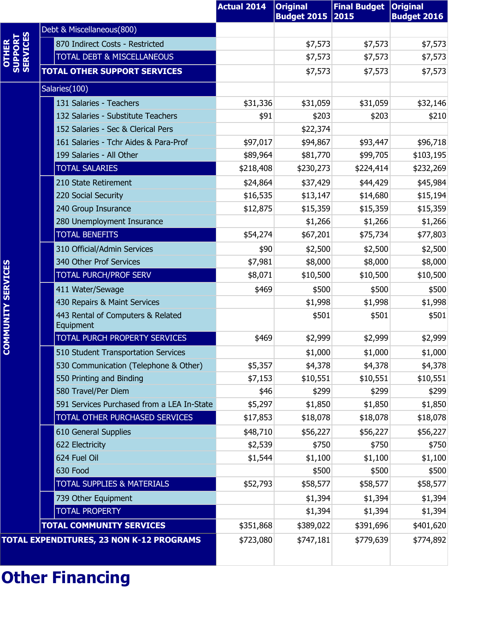|                           |                                                | <b>Actual 2014</b> | <b>Original</b><br><b>Budget 2015</b> | <b>Final Budget</b><br>2015 | <b>Original</b><br><b>Budget 2016</b> |
|---------------------------|------------------------------------------------|--------------------|---------------------------------------|-----------------------------|---------------------------------------|
|                           | Debt & Miscellaneous(800)                      |                    |                                       |                             |                                       |
| SUPPORT                   | 870 Indirect Costs - Restricted                |                    | \$7,573                               | \$7,573                     | \$7,573                               |
| <b>OTHER</b>              | TOTAL DEBT & MISCELLANEOUS                     |                    | \$7,573                               | \$7,573                     | \$7,573                               |
|                           | <b>TOTAL OTHER SUPPORT SERVICES</b>            |                    | \$7,573                               | \$7,573                     | \$7,573                               |
|                           | Salaries(100)                                  |                    |                                       |                             |                                       |
|                           | 131 Salaries - Teachers                        | \$31,336           | \$31,059                              | \$31,059                    | \$32,146                              |
|                           | 132 Salaries - Substitute Teachers             | \$91               | \$203                                 | \$203                       | \$210                                 |
|                           | 152 Salaries - Sec & Clerical Pers             |                    | \$22,374                              |                             |                                       |
|                           | 161 Salaries - Tchr Aides & Para-Prof          | \$97,017           | \$94,867                              | \$93,447                    | \$96,718                              |
|                           | 199 Salaries - All Other                       | \$89,964           | \$81,770                              | \$99,705                    | \$103,195                             |
|                           | <b>TOTAL SALARIES</b>                          | \$218,408          | \$230,273                             | \$224,414                   | \$232,269                             |
|                           | 210 State Retirement                           | \$24,864           | \$37,429                              | \$44,429                    | \$45,984                              |
|                           | 220 Social Security                            | \$16,535           | \$13,147                              | \$14,680                    | \$15,194                              |
|                           | 240 Group Insurance                            | \$12,875           | \$15,359                              | \$15,359                    | \$15,359                              |
|                           | 280 Unemployment Insurance                     |                    | \$1,266                               | \$1,266                     | \$1,266                               |
|                           | <b>TOTAL BENEFITS</b>                          | \$54,274           | \$67,201                              | \$75,734                    | \$77,803                              |
|                           | 310 Official/Admin Services                    | \$90               | \$2,500                               | \$2,500                     | \$2,500                               |
|                           | 340 Other Prof Services                        | \$7,981            | \$8,000                               | \$8,000                     | \$8,000                               |
|                           | <b>TOTAL PURCH/PROF SERV</b>                   | \$8,071            | \$10,500                              | \$10,500                    | \$10,500                              |
|                           | 411 Water/Sewage                               | \$469              | \$500                                 | \$500                       | \$500                                 |
|                           | 430 Repairs & Maint Services                   |                    | \$1,998                               | \$1,998                     | \$1,998                               |
| <b>COMMUNITY SERVICES</b> | 443 Rental of Computers & Related<br>Equipment |                    | \$501                                 | \$501                       | \$501                                 |
|                           | TOTAL PURCH PROPERTY SERVICES                  | \$469              | \$2,999                               | \$2,999                     | \$2,999                               |
|                           | 510 Student Transportation Services            |                    | \$1,000                               | \$1,000                     | \$1,000                               |
|                           | 530 Communication (Telephone & Other)          | \$5,357            | \$4,378                               | \$4,378                     | \$4,378                               |
|                           | 550 Printing and Binding                       | \$7,153            | \$10,551                              | \$10,551                    | \$10,551                              |
|                           | 580 Travel/Per Diem                            | \$46               | \$299                                 | \$299                       | \$299                                 |
|                           | 591 Services Purchased from a LEA In-State     | \$5,297            | \$1,850                               | \$1,850                     | \$1,850                               |
|                           | TOTAL OTHER PURCHASED SERVICES                 | \$17,853           | \$18,078                              | \$18,078                    | \$18,078                              |
|                           | 610 General Supplies                           | \$48,710           | \$56,227                              | \$56,227                    | \$56,227                              |
|                           | 622 Electricity                                | \$2,539            | \$750                                 | \$750                       | \$750                                 |
|                           | 624 Fuel Oil                                   | \$1,544            | \$1,100                               | \$1,100                     | \$1,100                               |
|                           | 630 Food                                       |                    | \$500                                 | \$500                       | \$500                                 |
|                           | <b>TOTAL SUPPLIES &amp; MATERIALS</b>          | \$52,793           | \$58,577                              | \$58,577                    | \$58,577                              |
|                           | 739 Other Equipment                            |                    | \$1,394                               | \$1,394                     | \$1,394                               |
|                           | <b>TOTAL PROPERTY</b>                          |                    | \$1,394                               | \$1,394                     | \$1,394                               |
|                           | <b>TOTAL COMMUNITY SERVICES</b>                | \$351,868          | \$389,022                             | \$391,696                   | \$401,620                             |
|                           | TOTAL EXPENDITURES, 23 NON K-12 PROGRAMS       | \$723,080          | \$747,181                             | \$779,639                   | \$774,892                             |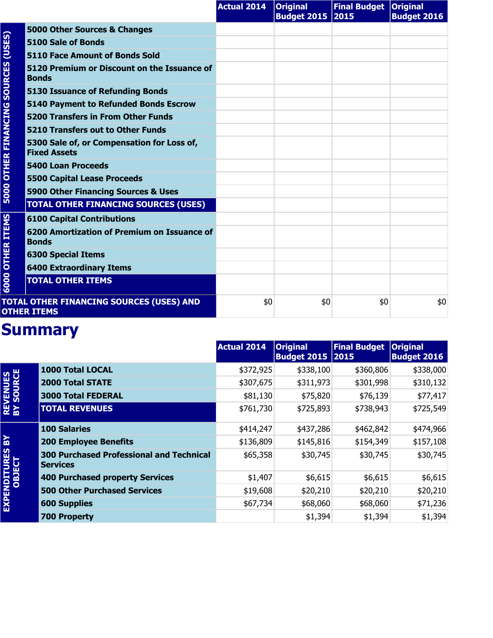|                                     |                                                                   | <b>Actual 2014</b> | <b>Original</b><br>Budget 2015 2015 | Final Budget   Original | <b>Budget 2016</b> |
|-------------------------------------|-------------------------------------------------------------------|--------------------|-------------------------------------|-------------------------|--------------------|
| (USES)                              | 5000 Other Sources & Changes                                      |                    |                                     |                         |                    |
|                                     | 5100 Sale of Bonds                                                |                    |                                     |                         |                    |
|                                     | <b>5110 Face Amount of Bonds Sold</b>                             |                    |                                     |                         |                    |
| <b>5000 OTHER FINANCING SOURCES</b> | 5120 Premium or Discount on the Issuance of<br><b>Bonds</b>       |                    |                                     |                         |                    |
|                                     | <b>5130 Issuance of Refunding Bonds</b>                           |                    |                                     |                         |                    |
|                                     | <b>5140 Payment to Refunded Bonds Escrow</b>                      |                    |                                     |                         |                    |
|                                     | <b>5200 Transfers in From Other Funds</b>                         |                    |                                     |                         |                    |
|                                     | 5210 Transfers out to Other Funds                                 |                    |                                     |                         |                    |
|                                     | 5300 Sale of, or Compensation for Loss of,<br><b>Fixed Assets</b> |                    |                                     |                         |                    |
|                                     | <b>5400 Loan Proceeds</b>                                         |                    |                                     |                         |                    |
|                                     | <b>5500 Capital Lease Proceeds</b>                                |                    |                                     |                         |                    |
|                                     | 5900 Other Financing Sources & Uses                               |                    |                                     |                         |                    |
|                                     | <b>TOTAL OTHER FINANCING SOURCES (USES)</b>                       |                    |                                     |                         |                    |
|                                     | <b>6100 Capital Contributions</b>                                 |                    |                                     |                         |                    |
| <b>OTHER ITEMS</b>                  | 6200 Amortization of Premium on Issuance of<br><b>Bonds</b>       |                    |                                     |                         |                    |
|                                     | <b>6300 Special Items</b>                                         |                    |                                     |                         |                    |
|                                     | <b>6400 Extraordinary Items</b>                                   |                    |                                     |                         |                    |
| 6000                                | <b>TOTAL OTHER ITEMS</b>                                          |                    |                                     |                         |                    |
|                                     | TOTAL OTHER FINANCING SOURCES (USES) AND<br><b>OTHER ITEMS</b>    | \$0                | \$0                                 | \$0                     | \$0                |

|                               |                                                                    | <b>Actual 2014</b> | <b>Original</b><br><b>Budget 2015 2015</b> | <b>Final Budget</b> | <b>Original</b><br><b>Budget 2016</b> |
|-------------------------------|--------------------------------------------------------------------|--------------------|--------------------------------------------|---------------------|---------------------------------------|
|                               | <b>1000 Total LOCAL</b>                                            | \$372,925          | \$338,100                                  | \$360,806           | \$338,000                             |
|                               | <b>2000 Total STATE</b>                                            | \$307,675          | \$311,973                                  | \$301,998           | \$310,132                             |
|                               | <b>3000 Total FEDERAL</b>                                          | \$81,130           | \$75,820                                   | \$76,139            | \$77,417                              |
| <b>REVENUES<br/>BY SOURCE</b> | <b>TOTAL REVENUES</b>                                              | \$761,730          | \$725,893                                  | \$738,943           | \$725,549                             |
|                               | <b>100 Salaries</b>                                                | \$414,247          | \$437,286                                  | \$462,842           | \$474,966                             |
| ៜ                             | <b>200 Employee Benefits</b>                                       | \$136,809          | \$145,816                                  | \$154,349           | \$157,108                             |
| EXPENDITURES<br>OBJECT        | <b>300 Purchased Professional and Technical</b><br><b>Services</b> | \$65,358           | \$30,745                                   | \$30,745            | \$30,745                              |
|                               | 400 Purchased property Services                                    | \$1,407            | \$6,615                                    | \$6,615             | \$6,615                               |
|                               | <b>500 Other Purchased Services</b>                                | \$19,608           | \$20,210                                   | \$20,210            | \$20,210                              |
|                               | <b>600 Supplies</b>                                                | \$67,734           | \$68,060                                   | \$68,060            | \$71,236                              |
|                               | <b>700 Property</b>                                                |                    | \$1,394                                    | \$1,394             | \$1,394                               |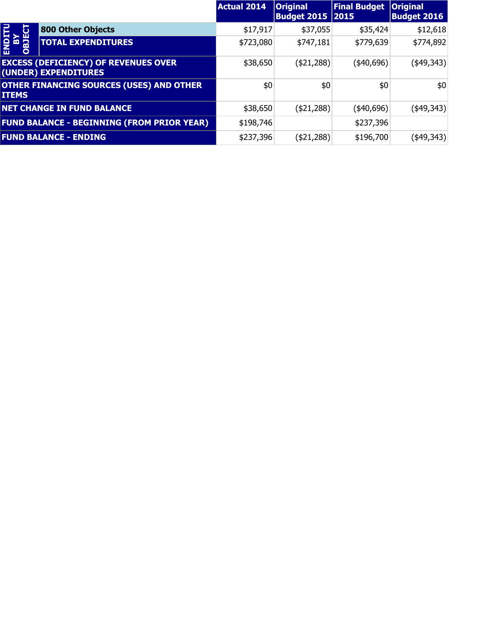|                             |                                                                     | <b>Actual 2014</b> | <b>Original</b><br><b>Budget 2015   2015</b> | <b>Final Budget</b> | <b>Original</b><br><b>Budget 2016</b> |
|-----------------------------|---------------------------------------------------------------------|--------------------|----------------------------------------------|---------------------|---------------------------------------|
| نا                          | 800 Other Objects                                                   | \$17,917           | \$37,055                                     | \$35,424            | \$12,618                              |
| <b>ENDIT</b><br>NB<br>OBJEC | <b>TOTAL EXPENDITURES</b>                                           | \$723,080          | \$747,181                                    | \$779,639           | \$774,892                             |
|                             | <b>EXCESS (DEFICIENCY) OF REVENUES OVER</b><br>(UNDER) EXPENDITURES | \$38,650           | ( \$21, 288)                                 | (40,696)            | $(*49,343)$                           |
| <b>ITEMS</b>                | <b>OTHER FINANCING SOURCES (USES) AND OTHER</b>                     | \$0                | \$0                                          | \$0                 | \$0                                   |
|                             | <b>NET CHANGE IN FUND BALANCE</b>                                   | \$38,650           | ( \$21, 288)                                 | $(*40,696)$         | (\$49,343)                            |
|                             | <b>FUND BALANCE - BEGINNING (FROM PRIOR YEAR)</b>                   | \$198,746          |                                              | \$237,396           |                                       |
|                             | <b>FUND BALANCE - ENDING</b>                                        | \$237,396          | (\$21,288)                                   | \$196,700           | (\$49,343)                            |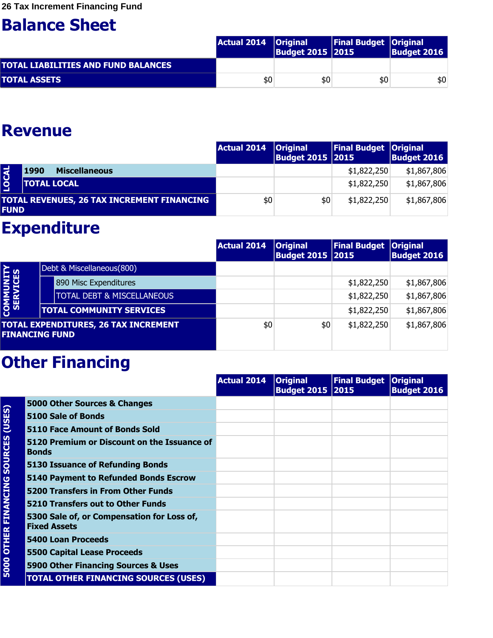|                                     | Actual 2014   Original | Budget 2015   2015 | <b>Final Budget   Original</b> | Budget 2016 |
|-------------------------------------|------------------------|--------------------|--------------------------------|-------------|
| TOTAL LIABILITIES AND FUND BALANCES |                        |                    |                                |             |
| <b>TOTAL ASSETS</b>                 | \$0                    | \$0                | \$0                            | \$0         |

#### **Revenue**

|              |                                                   | Actual 2014   Original | <b>Budget 2015 2015</b> | Final Budget   Original | <b>Budget 2016</b> |
|--------------|---------------------------------------------------|------------------------|-------------------------|-------------------------|--------------------|
|              | <b>Miscellaneous</b><br>1990                      |                        |                         | \$1,822,250             | \$1,867,806        |
| <b>LOCAL</b> | <b>TOTAL LOCAL</b>                                |                        |                         | \$1,822,250             | \$1,867,806        |
| <b>FUND</b>  | <b>TOTAL REVENUES, 26 TAX INCREMENT FINANCING</b> | \$0                    | \$0                     | \$1,822,250             | \$1,867,806        |

#### **Expenditure**

|                       |                                             | <b>Actual 2014</b> | <b>Original</b><br><b>Budget 2015 2015</b> | Final Budget   Original | <b>Budget 2016</b> |
|-----------------------|---------------------------------------------|--------------------|--------------------------------------------|-------------------------|--------------------|
|                       | Debt & Miscellaneous(800)                   |                    |                                            |                         |                    |
|                       | 890 Misc Expenditures                       |                    |                                            | \$1,822,250             | \$1,867,806        |
|                       | <b>TOTAL DEBT &amp; MISCELLANEOUS</b>       |                    |                                            | \$1,822,250             | \$1,867,806        |
| COMMUNITY<br>SERVICES | <b>TOTAL COMMUNITY SERVICES</b>             |                    |                                            | \$1,822,250             | \$1,867,806        |
| <b>FINANCING FUND</b> | <b>TOTAL EXPENDITURES, 26 TAX INCREMENT</b> | \$0                | \$0                                        | \$1,822,250             | \$1,867,806        |

|                                     |                                                                   | <b>Actual 2014</b> | <b>Original</b><br><b>Budget 2015 2015</b> | Final Budget   Original | <b>Budget 2016</b> |
|-------------------------------------|-------------------------------------------------------------------|--------------------|--------------------------------------------|-------------------------|--------------------|
|                                     | 5000 Other Sources & Changes                                      |                    |                                            |                         |                    |
| (USES)                              | 5100 Sale of Bonds                                                |                    |                                            |                         |                    |
|                                     | <b>5110 Face Amount of Bonds Sold</b>                             |                    |                                            |                         |                    |
|                                     | 5120 Premium or Discount on the Issuance of<br><b>Bonds</b>       |                    |                                            |                         |                    |
|                                     | 5130 Issuance of Refunding Bonds                                  |                    |                                            |                         |                    |
|                                     | 5140 Payment to Refunded Bonds Escrow                             |                    |                                            |                         |                    |
|                                     | <b>5200 Transfers in From Other Funds</b>                         |                    |                                            |                         |                    |
|                                     | 5210 Transfers out to Other Funds                                 |                    |                                            |                         |                    |
| <b>5000 OTHER FINANCING SOURCES</b> | 5300 Sale of, or Compensation for Loss of,<br><b>Fixed Assets</b> |                    |                                            |                         |                    |
|                                     | <b>5400 Loan Proceeds</b>                                         |                    |                                            |                         |                    |
|                                     | <b>5500 Capital Lease Proceeds</b>                                |                    |                                            |                         |                    |
|                                     | 5900 Other Financing Sources & Uses                               |                    |                                            |                         |                    |
|                                     | <b>TOTAL OTHER FINANCING SOURCES (USES)</b>                       |                    |                                            |                         |                    |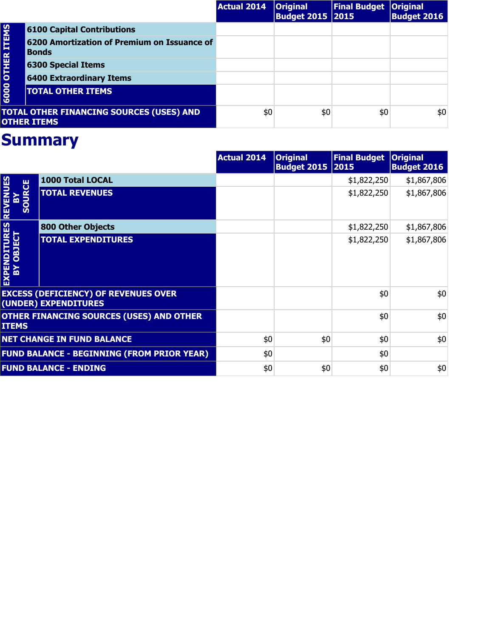|                         |                                                                       | <b>Actual 2014</b> | <b>Original</b><br><b>Budget 2015   2015</b> | <b>Final Budget   Original</b> | <b>Budget 2016</b> |
|-------------------------|-----------------------------------------------------------------------|--------------------|----------------------------------------------|--------------------------------|--------------------|
|                         | <b>6100 Capital Contributions</b>                                     |                    |                                              |                                |                    |
| <b>6000 OTHER ITEMS</b> | 6200 Amortization of Premium on Issuance of<br><b>Bonds</b>           |                    |                                              |                                |                    |
|                         | <b>6300 Special Items</b>                                             |                    |                                              |                                |                    |
|                         | <b>6400 Extraordinary Items</b>                                       |                    |                                              |                                |                    |
|                         | <b>TOTAL OTHER ITEMS</b>                                              |                    |                                              |                                |                    |
|                         | <b>TOTAL OTHER FINANCING SOURCES (USES) AND</b><br><b>OTHER ITEMS</b> | \$0                | \$0                                          | \$0                            | \$0                |

|                                |                                                                     | <b>Actual 2014</b> | <b>Original</b><br><b>Budget 2015 2015</b> | <b>Final Budget</b> | <b>Original</b><br><b>Budget 2016</b> |
|--------------------------------|---------------------------------------------------------------------|--------------------|--------------------------------------------|---------------------|---------------------------------------|
|                                | 1000 Total LOCAL                                                    |                    |                                            | \$1,822,250         | \$1,867,806                           |
| <b>REVENUES</b><br>SOURCE<br>즓 | <b>TOTAL REVENUES</b>                                               |                    |                                            | \$1,822,250         | \$1,867,806                           |
|                                | <b>800 Other Objects</b>                                            |                    |                                            | \$1,822,250         | \$1,867,806                           |
| EXPENDITURES<br>BY OBJECT      | <b>TOTAL EXPENDITURES</b>                                           |                    |                                            | \$1,822,250         | \$1,867,806                           |
|                                | <b>EXCESS (DEFICIENCY) OF REVENUES OVER</b><br>(UNDER) EXPENDITURES |                    |                                            | \$0                 | \$0                                   |
| <b>ITEMS</b>                   | <b>OTHER FINANCING SOURCES (USES) AND OTHER</b>                     |                    |                                            | \$0                 | \$0                                   |
|                                | <b>NET CHANGE IN FUND BALANCE</b>                                   | \$0                | \$0                                        | \$0                 | \$0                                   |
|                                | <b>FUND BALANCE - BEGINNING (FROM PRIOR YEAR)</b>                   | \$0                |                                            | \$0                 |                                       |
|                                | <b>FUND BALANCE - ENDING</b>                                        | \$0                | \$0                                        | \$0                 | \$0                                   |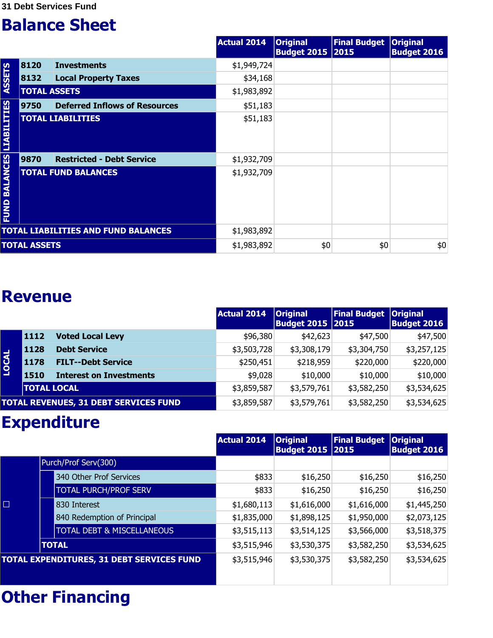|                                  |                     |                                            | <b>Actual 2014</b> | <b>Original</b><br><b>Budget 2015 2015</b> | <b>Final Budget</b> | <b>Original</b><br><b>Budget 2016</b> |
|----------------------------------|---------------------|--------------------------------------------|--------------------|--------------------------------------------|---------------------|---------------------------------------|
|                                  | 8120                | <b>Investments</b>                         | \$1,949,724        |                                            |                     |                                       |
| <b>ASSETS</b>                    | 8132                | <b>Local Property Taxes</b>                | \$34,168           |                                            |                     |                                       |
|                                  | <b>TOTAL ASSETS</b> |                                            | \$1,983,892        |                                            |                     |                                       |
|                                  | 9750                | <b>Deferred Inflows of Resources</b>       | \$51,183           |                                            |                     |                                       |
|                                  |                     | <b>TOTAL LIABILITIES</b>                   | \$51,183           |                                            |                     |                                       |
|                                  | 9870                | <b>Restricted - Debt Service</b>           | \$1,932,709        |                                            |                     |                                       |
| <b>FUND BALANCES LIABILITIES</b> |                     | <b>TOTAL FUND BALANCES</b>                 | \$1,932,709        |                                            |                     |                                       |
|                                  |                     | <b>TOTAL LIABILITIES AND FUND BALANCES</b> | \$1,983,892        |                                            |                     |                                       |
|                                  | <b>TOTAL ASSETS</b> |                                            | \$1,983,892        | \$0                                        | \$0                 | \$0                                   |

#### **Revenue**

|              |                    |                                       | Actual 2014 | <b>Original</b><br><b>Budget 2015 2015</b> | <b>Final Budget</b> | <b>Original</b><br><b>Budget 2016</b> |
|--------------|--------------------|---------------------------------------|-------------|--------------------------------------------|---------------------|---------------------------------------|
|              | 1112               | <b>Voted Local Levy</b>               | \$96,380    | \$42,623                                   | \$47,500            | \$47,500                              |
|              | 1128               | <b>Debt Service</b>                   | \$3,503,728 | \$3,308,179                                | \$3,304,750         | \$3,257,125                           |
| <b>LOCAL</b> | 1178               | <b>FILT--Debt Service</b>             | \$250,451   | \$218,959                                  | \$220,000           | \$220,000                             |
|              | 1510               | <b>Interest on Investments</b>        | \$9,028     | \$10,000                                   | \$10,000            | \$10,000                              |
|              | <b>TOTAL LOCAL</b> |                                       | \$3,859,587 | \$3,579,761                                | \$3,582,250         | \$3,534,625                           |
|              |                    | TOTAL REVENUES, 31 DEBT SERVICES FUND | \$3,859,587 | \$3,579,761                                | \$3,582,250         | \$3,534,625                           |

### **Expenditure**

|        |                                           | <b>Actual 2014</b> | <b>Original</b><br><b>Budget 2015 2015</b> | <b>Final Budget</b> | <b>Original</b><br><b>Budget 2016</b> |
|--------|-------------------------------------------|--------------------|--------------------------------------------|---------------------|---------------------------------------|
|        | Purch/Prof Serv(300)                      |                    |                                            |                     |                                       |
|        | 340 Other Prof Services                   | \$833              | \$16,250                                   | \$16,250            | \$16,250                              |
|        | <b>TOTAL PURCH/PROF SERV</b>              | \$833              | \$16,250                                   | \$16,250            | \$16,250                              |
| $\Box$ | 830 Interest                              | \$1,680,113        | \$1,616,000                                | \$1,616,000         | \$1,445,250                           |
|        | 840 Redemption of Principal               | \$1,835,000        | \$1,898,125                                | \$1,950,000         | \$2,073,125                           |
|        | <b>TOTAL DEBT &amp; MISCELLANEOUS</b>     | \$3,515,113        | \$3,514,125                                | \$3,566,000         | \$3,518,375                           |
|        | <b>TOTAL</b>                              | \$3,515,946        | \$3,530,375                                | \$3,582,250         | \$3,534,625                           |
|        | TOTAL EXPENDITURES, 31 DEBT SERVICES FUND | \$3,515,946        | \$3,530,375                                | \$3,582,250         | \$3,534,625                           |
|        |                                           |                    |                                            |                     |                                       |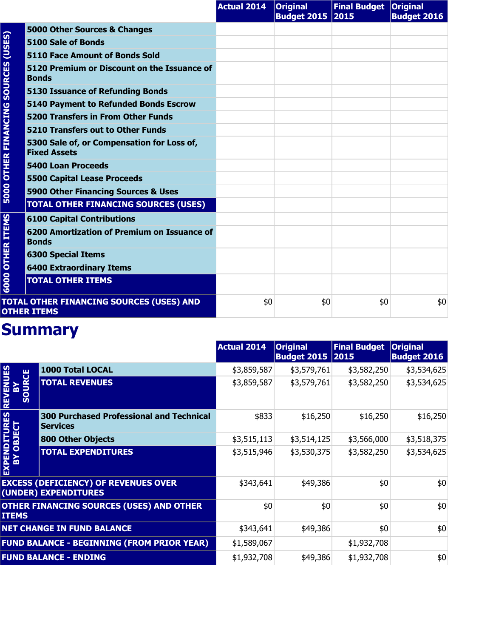|                        |                                                                   | <b>Actual 2014</b> | <b>Original</b><br><b>Budget 2015 2015</b> | <b>Final Budget Original</b> | <b>Budget 2016</b> |
|------------------------|-------------------------------------------------------------------|--------------------|--------------------------------------------|------------------------------|--------------------|
|                        | 5000 Other Sources & Changes                                      |                    |                                            |                              |                    |
| (USES)                 | 5100 Sale of Bonds                                                |                    |                                            |                              |                    |
|                        | <b>5110 Face Amount of Bonds Sold</b>                             |                    |                                            |                              |                    |
| <b>SOURCES</b>         | 5120 Premium or Discount on the Issuance of<br><b>Bonds</b>       |                    |                                            |                              |                    |
|                        | <b>5130 Issuance of Refunding Bonds</b>                           |                    |                                            |                              |                    |
|                        | <b>5140 Payment to Refunded Bonds Escrow</b>                      |                    |                                            |                              |                    |
|                        | <b>5200 Transfers in From Other Funds</b>                         |                    |                                            |                              |                    |
|                        | 5210 Transfers out to Other Funds                                 |                    |                                            |                              |                    |
| <b>OTHER FINANCING</b> | 5300 Sale of, or Compensation for Loss of,<br><b>Fixed Assets</b> |                    |                                            |                              |                    |
|                        | <b>5400 Loan Proceeds</b>                                         |                    |                                            |                              |                    |
|                        | <b>5500 Capital Lease Proceeds</b>                                |                    |                                            |                              |                    |
| 5000                   | 5900 Other Financing Sources & Uses                               |                    |                                            |                              |                    |
|                        | <b>TOTAL OTHER FINANCING SOURCES (USES)</b>                       |                    |                                            |                              |                    |
|                        | <b>6100 Capital Contributions</b>                                 |                    |                                            |                              |                    |
| <b>OTHER ITEMS</b>     | 6200 Amortization of Premium on Issuance of<br><b>Bonds</b>       |                    |                                            |                              |                    |
| 6000                   | <b>6300 Special Items</b>                                         |                    |                                            |                              |                    |
|                        | <b>6400 Extraordinary Items</b>                                   |                    |                                            |                              |                    |
|                        | <b>TOTAL OTHER ITEMS</b>                                          |                    |                                            |                              |                    |
|                        | TOTAL OTHER FINANCING SOURCES (USES) AND<br><b>OTHER ITEMS</b>    | \$0                | \$0                                        | \$0                          | \$0                |

|                                                             |                                                                     | <b>Actual 2014</b> | <b>Original</b><br>Budget 2015 2015 | <b>Final Budget</b> | <b>Original</b><br><b>Budget 2016</b> |
|-------------------------------------------------------------|---------------------------------------------------------------------|--------------------|-------------------------------------|---------------------|---------------------------------------|
| <b>NUES</b><br><b>RCE</b><br>靣<br><b>UOS</b><br><b>REVI</b> | <b>1000 Total LOCAL</b>                                             | \$3,859,587        | \$3,579,761                         | \$3,582,250         | \$3,534,625                           |
|                                                             | <b>TOTAL REVENUES</b>                                               | \$3,859,587        | \$3,579,761                         | \$3,582,250         | \$3,534,625                           |
|                                                             | <b>300 Purchased Professional and Technical</b><br><b>Services</b>  | \$833              | \$16,250                            | \$16,250            | \$16,250                              |
|                                                             | <b>800 Other Objects</b>                                            | \$3,515,113        | \$3,514,125                         | \$3,566,000         | \$3,518,375                           |
| <b>EXPENDITURES<br/>BY OBJECT</b>                           | <b>TOTAL EXPENDITURES</b>                                           | \$3,515,946        | \$3,530,375                         | \$3,582,250         | \$3,534,625                           |
|                                                             | <b>EXCESS (DEFICIENCY) OF REVENUES OVER</b><br>(UNDER) EXPENDITURES | \$343,641          | \$49,386                            | \$0                 | \$0                                   |
| <b>ITEMS</b>                                                | <b>OTHER FINANCING SOURCES (USES) AND OTHER</b>                     | \$0                | \$0                                 | \$0                 | \$0                                   |
|                                                             | <b>NET CHANGE IN FUND BALANCE</b>                                   | \$343,641          | \$49,386                            | \$0                 | \$0                                   |
|                                                             | <b>FUND BALANCE - BEGINNING (FROM PRIOR YEAR)</b>                   | \$1,589,067        |                                     | \$1,932,708         |                                       |
|                                                             | <b>FUND BALANCE - ENDING</b>                                        | \$1,932,708        | \$49,386                            | \$1,932,708         | \$0                                   |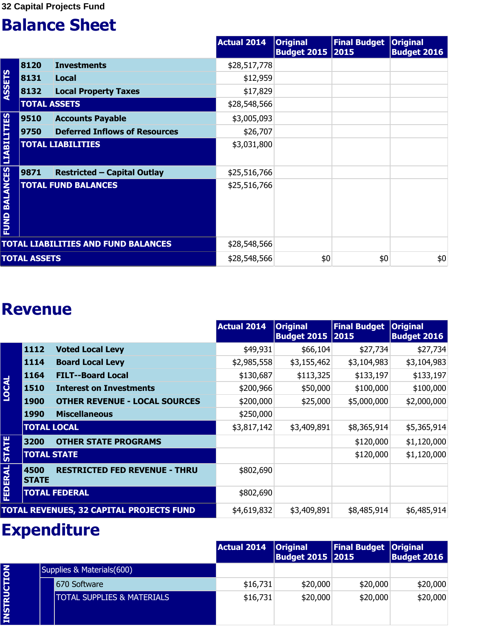|                                  |                     |                                            | <b>Actual 2014</b> | <b>Original</b><br><b>Budget 2015 2015</b> | <b>Final Budget</b> | <b>Original</b><br><b>Budget 2016</b> |
|----------------------------------|---------------------|--------------------------------------------|--------------------|--------------------------------------------|---------------------|---------------------------------------|
|                                  | 8120                | <b>Investments</b>                         | \$28,517,778       |                                            |                     |                                       |
|                                  | 8131                | <b>Local</b>                               | \$12,959           |                                            |                     |                                       |
| ASSETS                           | 8132                | <b>Local Property Taxes</b>                | \$17,829           |                                            |                     |                                       |
|                                  | <b>TOTAL ASSETS</b> |                                            | \$28,548,566       |                                            |                     |                                       |
|                                  | 9510                | <b>Accounts Payable</b>                    | \$3,005,093        |                                            |                     |                                       |
|                                  | 9750                | <b>Deferred Inflows of Resources</b>       | \$26,707           |                                            |                     |                                       |
|                                  |                     | <b>TOTAL LIABILITIES</b>                   | \$3,031,800        |                                            |                     |                                       |
|                                  | 9871                | <b>Restricted - Capital Outlay</b>         | \$25,516,766       |                                            |                     |                                       |
| <b>FUND BALANCES LIABILITIES</b> |                     | <b>TOTAL FUND BALANCES</b>                 | \$25,516,766       |                                            |                     |                                       |
|                                  |                     | <b>TOTAL LIABILITIES AND FUND BALANCES</b> | \$28,548,566       |                                            |                     |                                       |
|                                  | <b>TOTAL ASSETS</b> |                                            | \$28,548,566       | \$0                                        | \$0                 | \$0                                   |

#### **Revenue**

|                |                      |                                          | <b>Actual 2014</b> | <b>Original</b><br><b>Budget 2015 2015</b> | <b>Final Budget</b> | <b>Original</b><br><b>Budget 2016</b> |
|----------------|----------------------|------------------------------------------|--------------------|--------------------------------------------|---------------------|---------------------------------------|
|                | 1112                 | <b>Voted Local Levy</b>                  | \$49,931           | \$66,104                                   | \$27,734            | \$27,734                              |
|                | 1114                 | <b>Board Local Levy</b>                  | \$2,985,558        | \$3,155,462                                | \$3,104,983         | \$3,104,983                           |
|                | 1164                 | <b>FILT--Board Local</b>                 | \$130,687          | \$113,325                                  | \$133,197           | \$133,197                             |
| LOCAL          | 1510                 | <b>Interest on Investments</b>           | \$200,966          | \$50,000                                   | \$100,000           | \$100,000                             |
|                | <b>1900</b>          | <b>OTHER REVENUE - LOCAL SOURCES</b>     | \$200,000          | \$25,000                                   | \$5,000,000         | \$2,000,000                           |
|                | <b>1990</b>          | <b>Miscellaneous</b>                     | \$250,000          |                                            |                     |                                       |
|                | <b>TOTAL LOCAL</b>   |                                          | \$3,817,142        | \$3,409,891                                | \$8,365,914         | \$5,365,914                           |
|                | 3200                 | <b>OTHER STATE PROGRAMS</b>              |                    |                                            | \$120,000           | \$1,120,000                           |
| <b>STATE</b>   | <b>TOTAL STATE</b>   |                                          |                    |                                            | \$120,000           | \$1,120,000                           |
| <b>FEDERAL</b> | 4500<br><b>STATE</b> | <b>RESTRICTED FED REVENUE - THRU</b>     | \$802,690          |                                            |                     |                                       |
|                |                      | <b>TOTAL FEDERAL</b>                     | \$802,690          |                                            |                     |                                       |
|                |                      | TOTAL REVENUES, 32 CAPITAL PROJECTS FUND | \$4,619,832        | \$3,409,891                                | \$8,485,914         | \$6,485,914                           |

|                    |                                       | <b>Actual 2014</b> | <b>Original</b><br><b>Budget 2015   2015</b> | <b>Final Budget Original</b> | <b>Budget 2016</b> |
|--------------------|---------------------------------------|--------------------|----------------------------------------------|------------------------------|--------------------|
|                    | Supplies & Materials(600)             |                    |                                              |                              |                    |
|                    | 670 Software                          | \$16,731           | \$20,000                                     | \$20,000                     | \$20,000           |
| <b>INSTRUCTION</b> | <b>TOTAL SUPPLIES &amp; MATERIALS</b> | \$16,731           | \$20,000                                     | \$20,000                     | \$20,000           |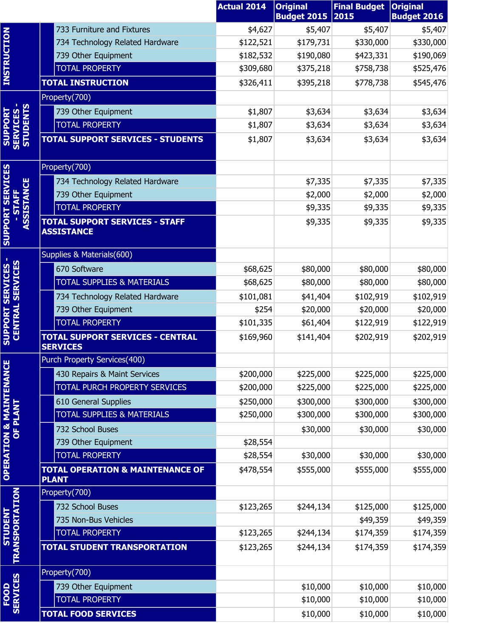|                                               |                                                             | <b>Actual 2014</b> | <b>Original</b><br><b>Budget 2015</b> | <b>Final Budget</b><br>2015 | <b>Original</b><br><b>Budget 2016</b> |
|-----------------------------------------------|-------------------------------------------------------------|--------------------|---------------------------------------|-----------------------------|---------------------------------------|
|                                               | 733 Furniture and Fixtures                                  | \$4,627            | \$5,407                               | \$5,407                     | \$5,407                               |
| <b>INSTRUCTION</b>                            | 734 Technology Related Hardware                             | \$122,521          | \$179,731                             | \$330,000                   | \$330,000                             |
|                                               | 739 Other Equipment                                         | \$182,532          | \$190,080                             | \$423,331                   | \$190,069                             |
|                                               | <b>TOTAL PROPERTY</b>                                       | \$309,680          | \$375,218                             | \$758,738                   | \$525,476                             |
|                                               | <b>TOTAL INSTRUCTION</b>                                    | \$326,411          | \$395,218                             | \$778,738                   | \$545,476                             |
|                                               | Property(700)                                               |                    |                                       |                             |                                       |
|                                               | 739 Other Equipment                                         | \$1,807            | \$3,634                               | \$3,634                     | \$3,634                               |
|                                               | <b>TOTAL PROPERTY</b>                                       | \$1,807            | \$3,634                               | \$3,634                     | \$3,634                               |
| <b>SUPPORT<br/>SERVICES -<br/>STUDENTS</b>    | <b>TOTAL SUPPORT SERVICES - STUDENTS</b>                    | \$1,807            | \$3,634                               | \$3,634                     | \$3,634                               |
|                                               | Property(700)                                               |                    |                                       |                             |                                       |
| <b>SERVICES</b>                               | 734 Technology Related Hardware                             |                    | \$7,335                               | \$7,335                     | \$7,335                               |
|                                               | 739 Other Equipment                                         |                    | \$2,000                               | \$2,000                     | \$2,000                               |
| <b>STAFF</b>                                  | <b>TOTAL PROPERTY</b>                                       |                    | \$9,335                               | \$9,335                     | \$9,335                               |
| <b>ASSISTANCE</b><br><b>SUPPORT</b>           | <b>TOTAL SUPPORT SERVICES - STAFF</b><br><b>ASSISTANCE</b>  |                    | \$9,335                               | \$9,335                     | \$9,335                               |
|                                               | Supplies & Materials(600)                                   |                    |                                       |                             |                                       |
| <b>CENTRAL SERVICES</b>                       | 670 Software                                                | \$68,625           | \$80,000                              | \$80,000                    | \$80,000                              |
|                                               | <b>TOTAL SUPPLIES &amp; MATERIALS</b>                       | \$68,625           | \$80,000                              | \$80,000                    | \$80,000                              |
|                                               | 734 Technology Related Hardware                             | \$101,081          | \$41,404                              | \$102,919                   | \$102,919                             |
|                                               | 739 Other Equipment                                         | \$254              | \$20,000                              | \$20,000                    | \$20,000                              |
|                                               | <b>TOTAL PROPERTY</b>                                       | \$101,335          | \$61,404                              | \$122,919                   | \$122,919                             |
| <b>SUPPORT SERVICES</b>                       | <b>TOTAL SUPPORT SERVICES - CENTRAL</b><br><b>SERVICES</b>  | \$169,960          | \$141,404                             | \$202,919                   | \$202,919                             |
| ш                                             | Purch Property Services(400)                                |                    |                                       |                             |                                       |
|                                               | 430 Repairs & Maint Services                                | \$200,000          | \$225,000                             | \$225,000                   | \$225,000                             |
|                                               | TOTAL PURCH PROPERTY SERVICES                               | \$200,000          | \$225,000                             | \$225,000                   | \$225,000                             |
|                                               | 610 General Supplies                                        | \$250,000          | \$300,000                             | \$300,000                   | \$300,000                             |
|                                               | <b>TOTAL SUPPLIES &amp; MATERIALS</b>                       | \$250,000          | \$300,000                             | \$300,000                   | \$300,000                             |
|                                               | 732 School Buses                                            |                    | \$30,000                              | \$30,000                    | \$30,000                              |
|                                               | 739 Other Equipment                                         | \$28,554           |                                       |                             |                                       |
|                                               | TOTAL PROPERTY                                              | \$28,554           | \$30,000                              | \$30,000                    | \$30,000                              |
| <b>OPERATION &amp; MAINTENANC</b><br>OF PLANT | <b>TOTAL OPERATION &amp; MAINTENANCE OF</b><br><b>PLANT</b> | \$478,554          | \$555,000                             | \$555,000                   | \$555,000                             |
|                                               | Property(700)                                               |                    |                                       |                             |                                       |
|                                               | 732 School Buses                                            | \$123,265          | \$244,134                             | \$125,000                   | \$125,000                             |
| <b>STUDENT</b>                                | 735 Non-Bus Vehicles                                        |                    |                                       | \$49,359                    | \$49,359                              |
|                                               | <b>TOTAL PROPERTY</b>                                       | \$123,265          | \$244,134                             | \$174,359                   | \$174,359                             |
| <b>TRANSPORTATION</b>                         | <b>TOTAL STUDENT TRANSPORTATION</b>                         | \$123,265          | \$244,134                             | \$174,359                   | \$174,359                             |
|                                               | Property(700)                                               |                    |                                       |                             |                                       |
| <b>SERVICES</b>                               | 739 Other Equipment                                         |                    | \$10,000                              | \$10,000                    | \$10,000                              |
| <b>FOOD</b>                                   | TOTAL PROPERTY                                              |                    | \$10,000                              | \$10,000                    | \$10,000                              |
|                                               | <b>TOTAL FOOD SERVICES</b>                                  |                    | \$10,000                              | \$10,000                    | \$10,000                              |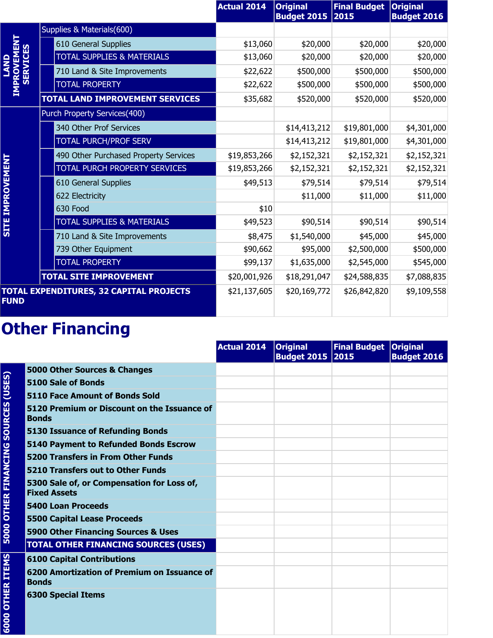|                            |                                                | <b>Actual 2014</b> | <b>Original</b><br><b>Budget 2015</b> | <b>Final Budget</b><br>2015 | <b>Original</b><br><b>Budget 2016</b> |
|----------------------------|------------------------------------------------|--------------------|---------------------------------------|-----------------------------|---------------------------------------|
| ROVEMEN<br><b>SERVICES</b> | Supplies & Materials(600)                      |                    |                                       |                             |                                       |
|                            | 610 General Supplies                           | \$13,060           | \$20,000                              | \$20,000                    | \$20,000                              |
|                            | <b>TOTAL SUPPLIES &amp; MATERIALS</b>          | \$13,060           | \$20,000                              | \$20,000                    | \$20,000                              |
|                            | 710 Land & Site Improvements                   | \$22,622           | \$500,000                             | \$500,000                   | \$500,000                             |
|                            | <b>TOTAL PROPERTY</b>                          | \$22,622           | \$500,000                             | \$500,000                   | \$500,000                             |
|                            | TOTAL LAND IMPROVEMENT SERVICES                | \$35,682           | \$520,000                             | \$520,000                   | \$520,000                             |
|                            | Purch Property Services(400)                   |                    |                                       |                             |                                       |
|                            | 340 Other Prof Services                        |                    | \$14,413,212                          | \$19,801,000                | \$4,301,000                           |
|                            | TOTAL PURCH/PROF SERV                          |                    | \$14,413,212                          | \$19,801,000                | \$4,301,000                           |
|                            | 490 Other Purchased Property Services          | \$19,853,266       | \$2,152,321                           | \$2,152,321                 | \$2,152,321                           |
| <b>SITE IMPROVEMENT</b>    | TOTAL PURCH PROPERTY SERVICES                  | \$19,853,266       | \$2,152,321                           | \$2,152,321                 | \$2,152,321                           |
|                            | 610 General Supplies                           | \$49,513           | \$79,514                              | \$79,514                    | \$79,514                              |
|                            | 622 Electricity                                |                    | \$11,000                              | \$11,000                    | \$11,000                              |
|                            | 630 Food                                       | \$10               |                                       |                             |                                       |
|                            | <b>TOTAL SUPPLIES &amp; MATERIALS</b>          | \$49,523           | \$90,514                              | \$90,514                    | \$90,514                              |
|                            | 710 Land & Site Improvements                   | \$8,475            | \$1,540,000                           | \$45,000                    | \$45,000                              |
|                            | 739 Other Equipment                            | \$90,662           | \$95,000                              | \$2,500,000                 | \$500,000                             |
|                            | <b>TOTAL PROPERTY</b>                          | \$99,137           | \$1,635,000                           | \$2,545,000                 | \$545,000                             |
|                            | <b>TOTAL SITE IMPROVEMENT</b>                  | \$20,001,926       | \$18,291,047                          | \$24,588,835                | \$7,088,835                           |
| <b>FUND</b>                | <b>TOTAL EXPENDITURES, 32 CAPITAL PROJECTS</b> | \$21,137,605       | \$20,169,772                          | \$26,842,820                | \$9,109,558                           |

|                                     |                                                                   | <b>Actual 2014</b> | <b>Original</b><br>Budget 2015 2015 | Final Budget   Original | <b>Budget 2016</b> |
|-------------------------------------|-------------------------------------------------------------------|--------------------|-------------------------------------|-------------------------|--------------------|
|                                     | 5000 Other Sources & Changes                                      |                    |                                     |                         |                    |
|                                     | 5100 Sale of Bonds                                                |                    |                                     |                         |                    |
|                                     | 5110 Face Amount of Bonds Sold                                    |                    |                                     |                         |                    |
| 5000 OTHER FINANCING SOURCES (USES) | 5120 Premium or Discount on the Issuance of<br><b>Bonds</b>       |                    |                                     |                         |                    |
|                                     | <b>5130 Issuance of Refunding Bonds</b>                           |                    |                                     |                         |                    |
|                                     | 5140 Payment to Refunded Bonds Escrow                             |                    |                                     |                         |                    |
|                                     | <b>5200 Transfers in From Other Funds</b>                         |                    |                                     |                         |                    |
|                                     | 5210 Transfers out to Other Funds                                 |                    |                                     |                         |                    |
|                                     | 5300 Sale of, or Compensation for Loss of,<br><b>Fixed Assets</b> |                    |                                     |                         |                    |
|                                     | <b>5400 Loan Proceeds</b>                                         |                    |                                     |                         |                    |
|                                     | <b>5500 Capital Lease Proceeds</b>                                |                    |                                     |                         |                    |
|                                     | 5900 Other Financing Sources & Uses                               |                    |                                     |                         |                    |
|                                     | <b>TOTAL OTHER FINANCING SOURCES (USES)</b>                       |                    |                                     |                         |                    |
|                                     | <b>6100 Capital Contributions</b>                                 |                    |                                     |                         |                    |
|                                     | 6200 Amortization of Premium on Issuance of<br><b>Bonds</b>       |                    |                                     |                         |                    |
| <b>6000 OTHER ITEMS</b>             | <b>6300 Special Items</b>                                         |                    |                                     |                         |                    |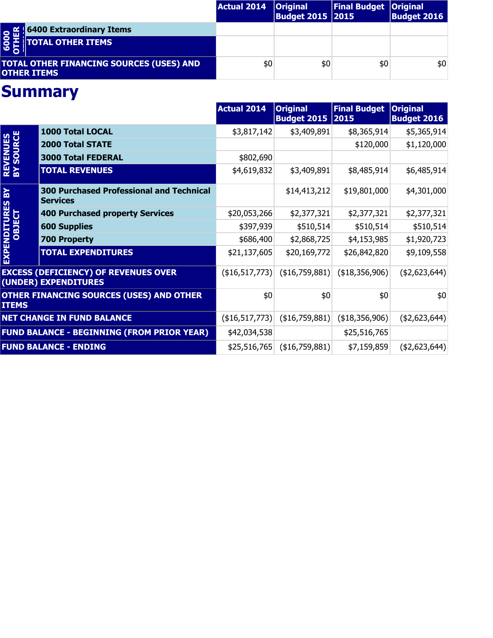|                                                                                      | <b>Actual 2014</b> | <b>Original</b><br><b>Budget 2015 2015</b> | <b>Final Budget   Original</b> | <b>Budget 2016</b> |
|--------------------------------------------------------------------------------------|--------------------|--------------------------------------------|--------------------------------|--------------------|
|                                                                                      |                    |                                            |                                |                    |
| <b>O fill 6400 Extraordinary Items</b><br><b>O H</b><br><b>C</b> D TOTAL OTHER ITEMS |                    |                                            |                                |                    |
| <b>TOTAL OTHER FINANCING SOURCES (USES) AND</b><br><b>OTHER ITEMS</b>                | \$0                | \$0                                        | \$0                            | \$0                |

|                                |                                                                     | <b>Actual 2014</b>    | <b>Original</b><br><b>Budget 2015</b> | <b>Final Budget</b><br> 2015 | <b>Original</b><br><b>Budget 2016</b> |
|--------------------------------|---------------------------------------------------------------------|-----------------------|---------------------------------------|------------------------------|---------------------------------------|
| <b>REVENUES<br/>BY SOURCE</b>  | 1000 Total LOCAL                                                    | \$3,817,142           | \$3,409,891                           | \$8,365,914                  | \$5,365,914                           |
|                                | <b>2000 Total STATE</b>                                             |                       |                                       | \$120,000                    | \$1,120,000                           |
|                                | <b>3000 Total FEDERAL</b>                                           | \$802,690             |                                       |                              |                                       |
|                                | <b>TOTAL REVENUES</b>                                               | \$4,619,832           | \$3,409,891                           | \$8,485,914                  | \$6,485,914                           |
| $\mathbf{R}$                   | <b>300 Purchased Professional and Technical</b><br><b>Services</b>  |                       | \$14,413,212                          | \$19,801,000                 | \$4,301,000                           |
|                                | <b>400 Purchased property Services</b>                              | \$20,053,266          | \$2,377,321                           | \$2,377,321                  | \$2,377,321                           |
|                                | <b>600 Supplies</b>                                                 | \$397,939             | \$510,514                             | \$510,514                    | \$510,514                             |
|                                | <b>700 Property</b>                                                 | \$686,400             | \$2,868,725                           | \$4,153,985                  | \$1,920,723                           |
| <b>EXPENDITURES<br/>OBJECT</b> | <b>TOTAL EXPENDITURES</b>                                           | \$21,137,605          | \$20,169,772                          | \$26,842,820                 | \$9,109,558                           |
|                                | <b>EXCESS (DEFICIENCY) OF REVENUES OVER</b><br>(UNDER) EXPENDITURES | (\$16,517,773)        | $($ \$16,759,881) $ $                 | $($ \$18,356,906) $ $        | (42,623,644)                          |
| <b>ITEMS</b>                   | <b>OTHER FINANCING SOURCES (USES) AND OTHER</b>                     | \$0                   | \$0                                   | \$0                          | \$0                                   |
|                                | <b>NET CHANGE IN FUND BALANCE</b>                                   | $($ \$16,517,773) $ $ | ( \$16,759,881)                       | ( \$18,356,906)              | (42,623,644)                          |
|                                | <b>FUND BALANCE - BEGINNING (FROM PRIOR YEAR)</b>                   | \$42,034,538          |                                       | \$25,516,765                 |                                       |
|                                | <b>FUND BALANCE - ENDING</b>                                        | \$25,516,765          | $($ \$16,759,881) $ $                 | \$7,159,859                  | (42,623,644)                          |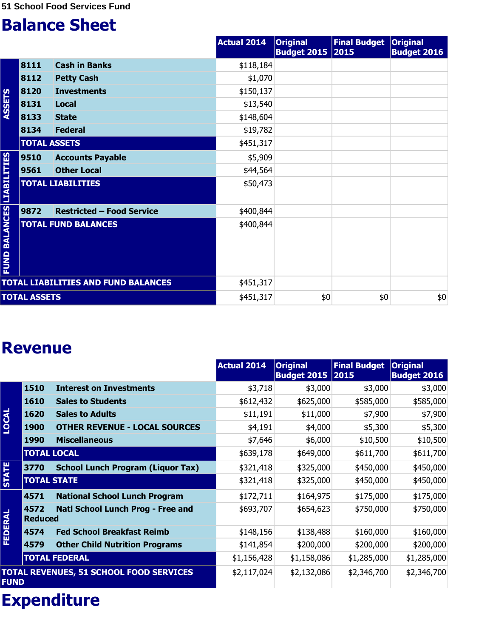|                                  |                     |                                            | <b>Actual 2014</b> | <b>Original</b><br><b>Budget 2015 2015</b> | <b>Final Budget</b> | <b>Original</b><br><b>Budget 2016</b> |
|----------------------------------|---------------------|--------------------------------------------|--------------------|--------------------------------------------|---------------------|---------------------------------------|
|                                  | 8111                | <b>Cash in Banks</b>                       | \$118,184          |                                            |                     |                                       |
|                                  | 8112                | <b>Petty Cash</b>                          | \$1,070            |                                            |                     |                                       |
|                                  | 8120                | <b>Investments</b>                         | \$150,137          |                                            |                     |                                       |
| <b>ASSETS</b>                    | 8131                | <b>Local</b>                               | \$13,540           |                                            |                     |                                       |
|                                  | 8133                | <b>State</b>                               | \$148,604          |                                            |                     |                                       |
|                                  | 8134                | <b>Federal</b>                             | \$19,782           |                                            |                     |                                       |
|                                  | <b>TOTAL ASSETS</b> |                                            | \$451,317          |                                            |                     |                                       |
|                                  | 9510                | <b>Accounts Payable</b>                    | \$5,909            |                                            |                     |                                       |
|                                  | 9561                | <b>Other Local</b>                         | \$44,564           |                                            |                     |                                       |
|                                  |                     | <b>TOTAL LIABILITIES</b>                   | \$50,473           |                                            |                     |                                       |
|                                  | 9872                | <b>Restricted - Food Service</b>           | \$400,844          |                                            |                     |                                       |
| <b>FUND BALANCES LIABILITIES</b> |                     | <b>TOTAL FUND BALANCES</b>                 | \$400,844          |                                            |                     |                                       |
|                                  |                     | <b>TOTAL LIABILITIES AND FUND BALANCES</b> | \$451,317          |                                            |                     |                                       |
|                                  | <b>TOTAL ASSETS</b> |                                            | \$451,317          | \$0                                        | \$0                 | $$0$$                                 |

#### **Revenue**

|                |                        |                                                | <b>Actual 2014</b> | <b>Original</b><br><b>Budget 2015</b> | <b>Final Budget</b><br> 2015 | <b>Original</b><br><b>Budget 2016</b> |
|----------------|------------------------|------------------------------------------------|--------------------|---------------------------------------|------------------------------|---------------------------------------|
|                | 1510                   | <b>Interest on Investments</b>                 | \$3,718            | \$3,000                               | \$3,000                      | \$3,000                               |
|                | 1610                   | <b>Sales to Students</b>                       | \$612,432          | \$625,000                             | \$585,000                    | \$585,000                             |
| <b>LOCAL</b>   | 1620                   | <b>Sales to Adults</b>                         | \$11,191           | \$11,000                              | \$7,900                      | \$7,900                               |
|                | <b>1900</b>            | <b>OTHER REVENUE - LOCAL SOURCES</b>           | \$4,191            | \$4,000                               | \$5,300                      | \$5,300                               |
|                | <b>1990</b>            | <b>Miscellaneous</b>                           | \$7,646            | \$6,000                               | \$10,500                     | \$10,500                              |
|                |                        | <b>TOTAL LOCAL</b>                             | \$639,178          | \$649,000                             | \$611,700                    | \$611,700                             |
|                | 3770                   | <b>School Lunch Program (Liquor Tax)</b>       | \$321,418          | \$325,000                             | \$450,000                    | \$450,000                             |
| <b>STATE</b>   | <b>TOTAL STATE</b>     |                                                | \$321,418          | \$325,000                             | \$450,000                    | \$450,000                             |
|                | 4571                   | <b>National School Lunch Program</b>           | \$172,711          | \$164,975                             | \$175,000                    | \$175,000                             |
| <b>FEDERAL</b> | 4572<br><b>Reduced</b> | Natl School Lunch Prog - Free and              | \$693,707          | \$654,623                             | \$750,000                    | \$750,000                             |
|                | 4574                   | <b>Fed School Breakfast Reimb</b>              | \$148,156          | \$138,488                             | \$160,000                    | \$160,000                             |
|                | 4579                   | <b>Other Child Nutrition Programs</b>          | \$141,854          | \$200,000                             | \$200,000                    | \$200,000                             |
|                |                        | <b>TOTAL FEDERAL</b>                           | \$1,156,428        | \$1,158,086                           | \$1,285,000                  | \$1,285,000                           |
| <b>FUND</b>    |                        | <b>TOTAL REVENUES, 51 SCHOOL FOOD SERVICES</b> | \$2,117,024        | \$2,132,086                           | \$2,346,700                  | \$2,346,700                           |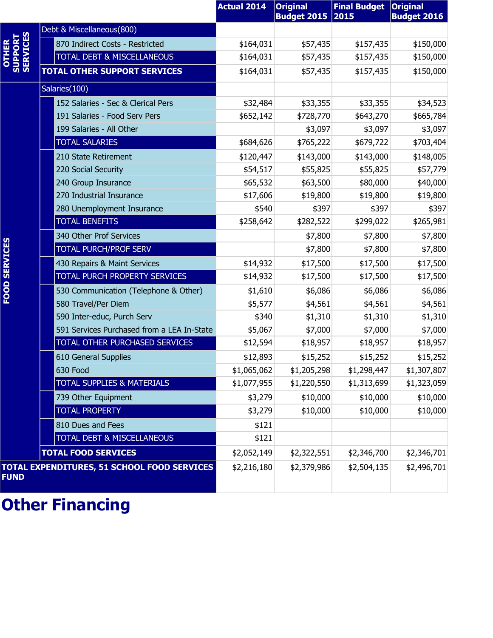|                              |                                             | <b>Actual 2014</b> | <b>Original</b><br><b>Budget 2015</b> | <b>Final Budget</b><br>2015 | <b>Original</b><br><b>Budget 2016</b> |
|------------------------------|---------------------------------------------|--------------------|---------------------------------------|-----------------------------|---------------------------------------|
|                              | Debt & Miscellaneous(800)                   |                    |                                       |                             |                                       |
| OTHER<br>SUPPORT<br>SERVICES | 870 Indirect Costs - Restricted             | \$164,031          | \$57,435                              | \$157,435                   | \$150,000                             |
|                              | <b>TOTAL DEBT &amp; MISCELLANEOUS</b>       | \$164,031          | \$57,435                              | \$157,435                   | \$150,000                             |
|                              | <b>TOTAL OTHER SUPPORT SERVICES</b>         | \$164,031          | \$57,435                              | \$157,435                   | \$150,000                             |
|                              | Salaries(100)                               |                    |                                       |                             |                                       |
|                              | 152 Salaries - Sec & Clerical Pers          | \$32,484           | \$33,355                              | \$33,355                    | \$34,523                              |
|                              | 191 Salaries - Food Serv Pers               | \$652,142          | \$728,770                             | \$643,270                   | \$665,784                             |
|                              | 199 Salaries - All Other                    |                    | \$3,097                               | \$3,097                     | \$3,097                               |
|                              | <b>TOTAL SALARIES</b>                       | \$684,626          | \$765,222                             | \$679,722                   | \$703,404                             |
|                              | 210 State Retirement                        | \$120,447          | \$143,000                             | \$143,000                   | \$148,005                             |
|                              | 220 Social Security                         | \$54,517           | \$55,825                              | \$55,825                    | \$57,779                              |
|                              | 240 Group Insurance                         | \$65,532           | \$63,500                              | \$80,000                    | \$40,000                              |
|                              | 270 Industrial Insurance                    | \$17,606           | \$19,800                              | \$19,800                    | \$19,800                              |
|                              | 280 Unemployment Insurance                  | \$540              | \$397                                 | \$397                       | \$397                                 |
|                              | <b>TOTAL BENEFITS</b>                       | \$258,642          | \$282,522                             | \$299,022                   | \$265,981                             |
|                              | 340 Other Prof Services                     |                    | \$7,800                               | \$7,800                     | \$7,800                               |
| FOOD SERVICES                | <b>TOTAL PURCH/PROF SERV</b>                |                    | \$7,800                               | \$7,800                     | \$7,800                               |
|                              | 430 Repairs & Maint Services                | \$14,932           | \$17,500                              | \$17,500                    | \$17,500                              |
|                              | TOTAL PURCH PROPERTY SERVICES               | \$14,932           | \$17,500                              | \$17,500                    | \$17,500                              |
|                              | 530 Communication (Telephone & Other)       | \$1,610            | \$6,086                               | \$6,086                     | \$6,086                               |
|                              | 580 Travel/Per Diem                         | \$5,577            | \$4,561                               | \$4,561                     | \$4,561                               |
|                              | 590 Inter-educ, Purch Serv                  | \$340              | \$1,310                               | \$1,310                     | \$1,310                               |
|                              | 591 Services Purchased from a LEA In-State  | \$5,067            | \$7,000                               | \$7,000                     | \$7,000                               |
|                              | TOTAL OTHER PURCHASED SERVICES              | \$12,594           | \$18,957                              | \$18,957                    | \$18,957                              |
|                              | 610 General Supplies                        | \$12,893           | \$15,252                              | \$15,252                    | \$15,252                              |
|                              | 630 Food                                    | \$1,065,062        | \$1,205,298                           | \$1,298,447                 | \$1,307,807                           |
|                              | <b>TOTAL SUPPLIES &amp; MATERIALS</b>       | \$1,077,955        | \$1,220,550                           | \$1,313,699                 | \$1,323,059                           |
|                              | 739 Other Equipment                         | \$3,279            | \$10,000                              | \$10,000                    | \$10,000                              |
|                              | <b>TOTAL PROPERTY</b>                       | \$3,279            | \$10,000                              | \$10,000                    | \$10,000                              |
|                              | 810 Dues and Fees                           | \$121              |                                       |                             |                                       |
|                              | TOTAL DEBT & MISCELLANEOUS                  | \$121              |                                       |                             |                                       |
|                              | <b>TOTAL FOOD SERVICES</b>                  | \$2,052,149        | \$2,322,551                           | \$2,346,700                 | \$2,346,701                           |
| <b>FUND</b>                  | TOTAL EXPENDITURES, 51 SCHOOL FOOD SERVICES | \$2,216,180        | \$2,379,986                           | \$2,504,135                 | \$2,496,701                           |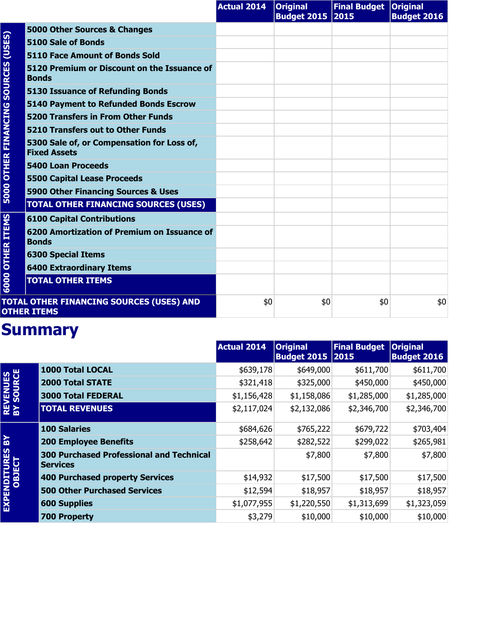|                                     |                                                                   | <b>Actual 2014</b> | <b>Original</b><br>Budget 2015 2015 | Final Budget   Original | <b>Budget 2016</b> |
|-------------------------------------|-------------------------------------------------------------------|--------------------|-------------------------------------|-------------------------|--------------------|
| (USES)                              | 5000 Other Sources & Changes                                      |                    |                                     |                         |                    |
|                                     | 5100 Sale of Bonds                                                |                    |                                     |                         |                    |
|                                     | <b>5110 Face Amount of Bonds Sold</b>                             |                    |                                     |                         |                    |
| <b>5000 OTHER FINANCING SOURCES</b> | 5120 Premium or Discount on the Issuance of<br><b>Bonds</b>       |                    |                                     |                         |                    |
|                                     | <b>5130 Issuance of Refunding Bonds</b>                           |                    |                                     |                         |                    |
|                                     | <b>5140 Payment to Refunded Bonds Escrow</b>                      |                    |                                     |                         |                    |
|                                     | <b>5200 Transfers in From Other Funds</b>                         |                    |                                     |                         |                    |
|                                     | 5210 Transfers out to Other Funds                                 |                    |                                     |                         |                    |
|                                     | 5300 Sale of, or Compensation for Loss of,<br><b>Fixed Assets</b> |                    |                                     |                         |                    |
|                                     | <b>5400 Loan Proceeds</b>                                         |                    |                                     |                         |                    |
|                                     | <b>5500 Capital Lease Proceeds</b>                                |                    |                                     |                         |                    |
|                                     | 5900 Other Financing Sources & Uses                               |                    |                                     |                         |                    |
|                                     | <b>TOTAL OTHER FINANCING SOURCES (USES)</b>                       |                    |                                     |                         |                    |
|                                     | <b>6100 Capital Contributions</b>                                 |                    |                                     |                         |                    |
| <b>OTHER ITEMS</b>                  | 6200 Amortization of Premium on Issuance of<br><b>Bonds</b>       |                    |                                     |                         |                    |
|                                     | <b>6300 Special Items</b>                                         |                    |                                     |                         |                    |
|                                     | <b>6400 Extraordinary Items</b>                                   |                    |                                     |                         |                    |
| 6000                                | <b>TOTAL OTHER ITEMS</b>                                          |                    |                                     |                         |                    |
|                                     | TOTAL OTHER FINANCING SOURCES (USES) AND<br><b>OTHER ITEMS</b>    | \$0                | \$0                                 | \$0                     | \$0                |

|                               |                                                                    | <b>Actual 2014</b> | <b>Original</b><br><b>Budget 2015 2015</b> | <b>Final Budget</b> | <b>Original</b><br><b>Budget 2016</b> |
|-------------------------------|--------------------------------------------------------------------|--------------------|--------------------------------------------|---------------------|---------------------------------------|
|                               | 1000 Total LOCAL                                                   | \$639,178          | \$649,000                                  | \$611,700           | \$611,700                             |
|                               | <b>2000 Total STATE</b>                                            | \$321,418          | \$325,000                                  | \$450,000           | \$450,000                             |
|                               | <b>3000 Total FEDERAL</b>                                          | \$1,156,428        | \$1,158,086                                | \$1,285,000         | \$1,285,000                           |
| <b>REVENUES<br/>BY SOURCE</b> | <b>TOTAL REVENUES</b>                                              | \$2,117,024        | \$2,132,086                                | \$2,346,700         | \$2,346,700                           |
|                               | <b>100 Salaries</b>                                                | \$684,626          | \$765,222                                  | \$679,722           | \$703,404                             |
| 있                             | <b>200 Employee Benefits</b>                                       | \$258,642          | \$282,522                                  | \$299,022           | \$265,981                             |
|                               | <b>300 Purchased Professional and Technical</b><br><b>Services</b> |                    | \$7,800                                    | \$7,800             | \$7,800                               |
|                               | <b>400 Purchased property Services</b>                             | \$14,932           | \$17,500                                   | \$17,500            | \$17,500                              |
| EXPENDITURES<br>OBJECT        | <b>500 Other Purchased Services</b>                                | \$12,594           | \$18,957                                   | \$18,957            | \$18,957                              |
|                               | <b>600 Supplies</b>                                                | \$1,077,955        | \$1,220,550                                | \$1,313,699         | \$1,323,059                           |
|                               | <b>700 Property</b>                                                | \$3,279            | \$10,000                                   | \$10,000            | \$10,000                              |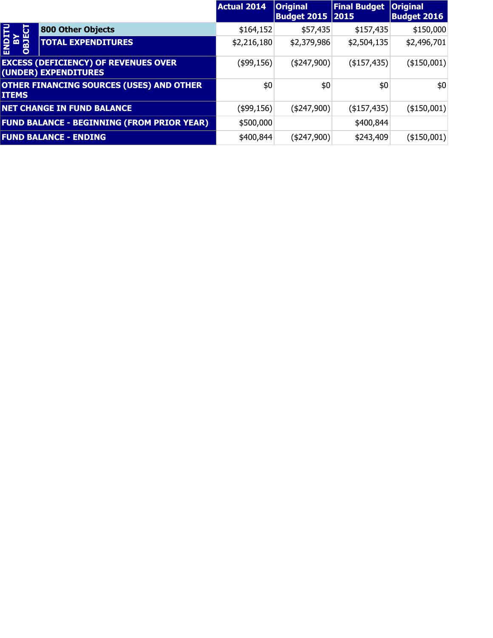|                             |                                                                     | <b>Actual 2014</b> | <b>Original</b><br><b>Budget 2015 2015</b> | <b>Final Budget</b> | <b>Original</b><br><b>Budget 2016</b> |
|-----------------------------|---------------------------------------------------------------------|--------------------|--------------------------------------------|---------------------|---------------------------------------|
|                             | <b>800 Other Objects</b>                                            | \$164,152          | \$57,435                                   | \$157,435           | \$150,000                             |
| <b>SIRO<br/>ASP</b><br>DBJE | <b>TOTAL EXPENDITURES</b>                                           | \$2,216,180        | \$2,379,986                                | \$2,504,135         | \$2,496,701                           |
|                             | <b>EXCESS (DEFICIENCY) OF REVENUES OVER</b><br>(UNDER) EXPENDITURES | (\$99,156)         | (\$247,900)                                | $($ \$157,435)      | (\$150,001)                           |
| <b>ITEMS</b>                | <b>OTHER FINANCING SOURCES (USES) AND OTHER</b>                     | \$0                | \$0                                        | \$0                 | \$0                                   |
|                             | <b>NET CHANGE IN FUND BALANCE</b>                                   | (\$99,156)         | (\$247,900)                                | $($ \$157,435) $ $  | $($ \$150,001)                        |
|                             | <b>FUND BALANCE - BEGINNING (FROM PRIOR YEAR)</b>                   | \$500,000          |                                            | \$400,844           |                                       |
|                             | <b>FUND BALANCE - ENDING</b>                                        | \$400,844          | (\$247,900)                                | \$243,409           | ( \$150,001)                          |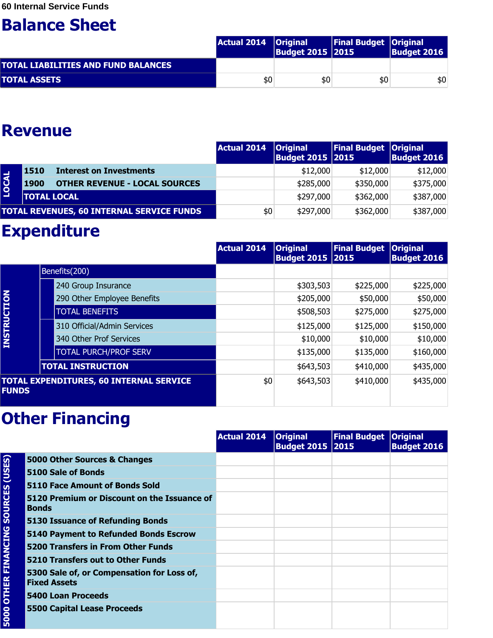|                                            | Actual 2014   Original | <b>Budget 2015 2015</b> | <b>Final Budget Original</b> | <b>Budget 2016</b> |
|--------------------------------------------|------------------------|-------------------------|------------------------------|--------------------|
| <b>TOTAL LIABILITIES AND FUND BALANCES</b> |                        |                         |                              |                    |
| <b>TOTAL ASSETS</b>                        | \$0                    | \$0                     | \$0                          | \$0                |

#### **Revenue**

|              |                    |                                                  | <b>Actual 2014</b> | <b>Original</b><br>Budget 2015 2015 | <b>Final Budget Original</b> | <b>Budget 2016</b> |
|--------------|--------------------|--------------------------------------------------|--------------------|-------------------------------------|------------------------------|--------------------|
|              | 1510               | <b>Interest on Investments</b>                   |                    | \$12,000                            | \$12,000                     | \$12,000           |
| <b>LOCAL</b> | 1900               | <b>OTHER REVENUE - LOCAL SOURCES</b>             |                    | \$285,000                           | \$350,000                    | \$375,000          |
|              | <b>TOTAL LOCAL</b> |                                                  |                    | \$297,000                           | \$362,000                    | \$387,000          |
|              |                    | <b>TOTAL REVENUES, 60 INTERNAL SERVICE FUNDS</b> | \$0                | \$297,000                           | \$362,000                    | \$387,000          |

### **Expenditure**

|                                                                |                          |                              | <b>Actual 2014</b> | <b>Original</b><br><b>Budget 2015 2015</b> | <b>Final Budget</b> | <b>Original</b><br><b>Budget 2016</b> |
|----------------------------------------------------------------|--------------------------|------------------------------|--------------------|--------------------------------------------|---------------------|---------------------------------------|
|                                                                | Benefits(200)            |                              |                    |                                            |                     |                                       |
|                                                                |                          | 240 Group Insurance          |                    | \$303,503                                  | \$225,000           | \$225,000                             |
|                                                                |                          | 290 Other Employee Benefits  |                    | \$205,000                                  | \$50,000            | \$50,000                              |
| <b>INSTRUCTION</b>                                             |                          | <b>TOTAL BENEFITS</b>        |                    | \$508,503                                  | \$275,000           | \$275,000                             |
|                                                                |                          | 310 Official/Admin Services  |                    | \$125,000                                  | \$125,000           | \$150,000                             |
|                                                                |                          | 340 Other Prof Services      |                    | \$10,000                                   | \$10,000            | \$10,000                              |
|                                                                |                          | <b>TOTAL PURCH/PROF SERV</b> |                    | \$135,000                                  | \$135,000           | \$160,000                             |
|                                                                | <b>TOTAL INSTRUCTION</b> |                              |                    | \$643,503                                  | \$410,000           | \$435,000                             |
| <b>TOTAL EXPENDITURES, 60 INTERNAL SERVICE</b><br><b>FUNDS</b> |                          | \$0                          | \$643,503          | \$410,000                                  | \$435,000           |                                       |

|                                |                                                                   | <b>Actual 2014</b> | <b>Original</b><br><b>Budget 2015 2015</b> | <b>Final Budget Original</b> | <b>Budget 2016</b> |
|--------------------------------|-------------------------------------------------------------------|--------------------|--------------------------------------------|------------------------------|--------------------|
| <b>SOURCES (USES)</b>          | 5000 Other Sources & Changes                                      |                    |                                            |                              |                    |
|                                | 5100 Sale of Bonds                                                |                    |                                            |                              |                    |
|                                | 5110 Face Amount of Bonds Sold                                    |                    |                                            |                              |                    |
|                                | 5120 Premium or Discount on the Issuance of<br><b>Bonds</b>       |                    |                                            |                              |                    |
|                                | <b>5130 Issuance of Refunding Bonds</b>                           |                    |                                            |                              |                    |
| <b>OTHER FINANCING</b><br>5000 | 5140 Payment to Refunded Bonds Escrow                             |                    |                                            |                              |                    |
|                                | <b>5200 Transfers in From Other Funds</b>                         |                    |                                            |                              |                    |
|                                | 5210 Transfers out to Other Funds                                 |                    |                                            |                              |                    |
|                                | 5300 Sale of, or Compensation for Loss of,<br><b>Fixed Assets</b> |                    |                                            |                              |                    |
|                                | 5400 Loan Proceeds                                                |                    |                                            |                              |                    |
|                                | <b>5500 Capital Lease Proceeds</b>                                |                    |                                            |                              |                    |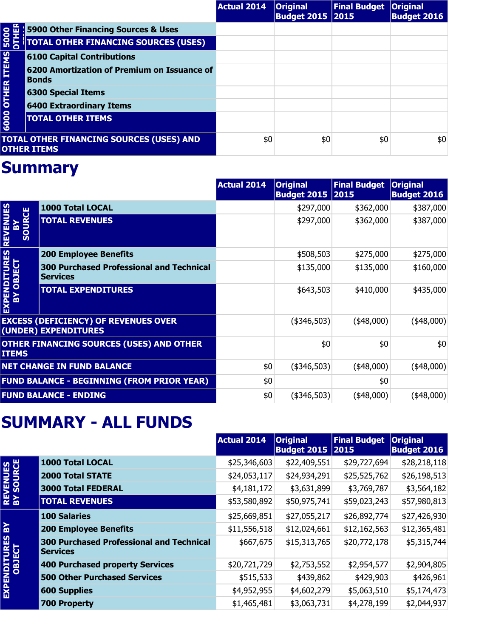|                                                                       |                                                             | <b>Actual 2014</b> | <b>Original</b><br><b>Budget 2015   2015</b> | Final Budget   Original | <b>Budget 2016</b> |
|-----------------------------------------------------------------------|-------------------------------------------------------------|--------------------|----------------------------------------------|-------------------------|--------------------|
|                                                                       | 5900 Other Financing Sources & Uses                         |                    |                                              |                         |                    |
| 5000<br><b>OUTR</b>                                                   | <b>TOTAL OTHER FINANCING SOURCES (USES)</b>                 |                    |                                              |                         |                    |
|                                                                       | <b>6100 Capital Contributions</b>                           |                    |                                              |                         |                    |
| <b>6000 OTHER ITEMS</b>                                               | 6200 Amortization of Premium on Issuance of<br><b>Bonds</b> |                    |                                              |                         |                    |
|                                                                       | <b>6300 Special Items</b>                                   |                    |                                              |                         |                    |
|                                                                       | <b>6400 Extraordinary Items</b>                             |                    |                                              |                         |                    |
|                                                                       | <b>TOTAL OTHER ITEMS</b>                                    |                    |                                              |                         |                    |
| <b>TOTAL OTHER FINANCING SOURCES (USES) AND</b><br><b>OTHER ITEMS</b> |                                                             | \$0                | \$0                                          | \$0                     | \$0                |

|                                                                     |                                                                    | <b>Actual 2014</b> | <b>Original</b><br><b>Budget 2015 2015</b> | <b>Final Budget</b> | <b>Original</b><br><b>Budget 2016</b> |
|---------------------------------------------------------------------|--------------------------------------------------------------------|--------------------|--------------------------------------------|---------------------|---------------------------------------|
| <b>REVENUES</b><br>SOURCE<br>孟                                      | 1000 Total LOCAL                                                   |                    | \$297,000                                  | \$362,000           | \$387,000                             |
|                                                                     | <b>TOTAL REVENUES</b>                                              |                    | \$297,000                                  | \$362,000           | \$387,000                             |
|                                                                     | <b>200 Employee Benefits</b>                                       |                    | \$508,503                                  | \$275,000           | \$275,000                             |
| <b>EXPENDITURES<br/>BY OBJECT</b>                                   | <b>300 Purchased Professional and Technical</b><br><b>Services</b> |                    | \$135,000                                  | \$135,000           | \$160,000                             |
|                                                                     | <b>TOTAL EXPENDITURES</b>                                          |                    | \$643,503                                  | \$410,000           | \$435,000                             |
| <b>EXCESS (DEFICIENCY) OF REVENUES OVER</b><br>(UNDER) EXPENDITURES |                                                                    |                    | (\$346,503)                                | $(*48,000)$         | $(*48,000)$                           |
| OTHER FINANCING SOURCES (USES) AND OTHER<br><b>ITEMS</b>            |                                                                    |                    | \$0                                        | \$0                 | \$0                                   |
| <b>NET CHANGE IN FUND BALANCE</b>                                   |                                                                    | \$0                | $(*346,503)$                               | $(*48,000)$         | $(*48,000)$                           |
| <b>FUND BALANCE - BEGINNING (FROM PRIOR YEAR)</b>                   |                                                                    | \$0                |                                            | \$0                 |                                       |
| <b>FUND BALANCE - ENDING</b>                                        |                                                                    | \$0                | $(*346,503)$                               | $(*48,000)$         | $(*48,000)$                           |

#### **SUMMARY - ALL FUNDS**

|                               |                                                                    | <b>Actual 2014</b> | <b>Original</b><br><b>Budget 2015 2015</b> | <b>Final Budget</b> | <b>Original</b><br><b>Budget 2016</b> |
|-------------------------------|--------------------------------------------------------------------|--------------------|--------------------------------------------|---------------------|---------------------------------------|
|                               | 1000 Total LOCAL                                                   | \$25,346,603       | \$22,409,551                               | \$29,727,694        | \$28,218,118                          |
|                               | <b>2000 Total STATE</b>                                            | \$24,053,117       | \$24,934,291                               | \$25,525,762        | \$26,198,513                          |
| <b>REVENUES<br/>BY SOURCE</b> | <b>3000 Total FEDERAL</b>                                          | \$4,181,172        | \$3,631,899                                | \$3,769,787         | \$3,564,182                           |
|                               | <b>TOTAL REVENUES</b>                                              | \$53,580,892       | \$50,975,741                               | \$59,023,243        | \$57,980,813                          |
|                               | <b>100 Salaries</b>                                                | \$25,669,851       | \$27,055,217                               | \$26,892,774        | \$27,426,930                          |
| $\mathbf{R}$                  | <b>200 Employee Benefits</b>                                       | \$11,556,518       | \$12,024,661                               | \$12,162,563        | \$12,365,481                          |
| EXPENDITURES<br>OBJECT        | <b>300 Purchased Professional and Technical</b><br><b>Services</b> | \$667,675          | \$15,313,765                               | \$20,772,178        | \$5,315,744                           |
|                               | <b>400 Purchased property Services</b>                             | \$20,721,729       | \$2,753,552                                | \$2,954,577         | \$2,904,805                           |
|                               | <b>500 Other Purchased Services</b>                                | \$515,533          | \$439,862                                  | \$429,903           | \$426,961                             |
|                               | <b>600 Supplies</b>                                                | \$4,952,955        | \$4,602,279                                | \$5,063,510         | \$5,174,473                           |
|                               | <b>700 Property</b>                                                | \$1,465,481        | \$3,063,731                                | \$4,278,199         | \$2,044,937                           |